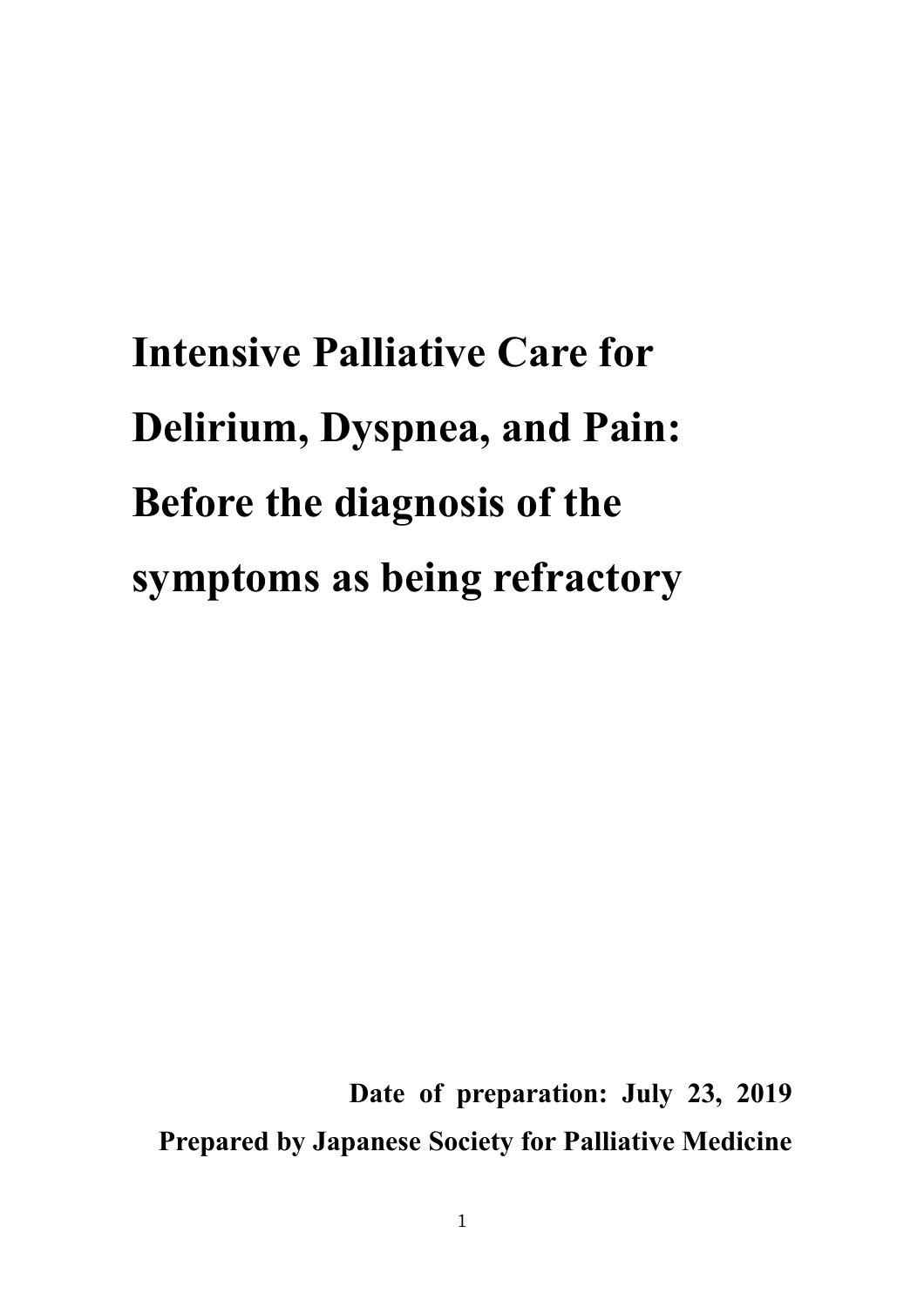**Intensive Palliative Care for Delirium, Dyspnea, and Pain: Before the diagnosis of the symptoms as being refractory**

**Date of preparation: July 23, 2019 Prepared by Japanese Society for Palliative Medicine**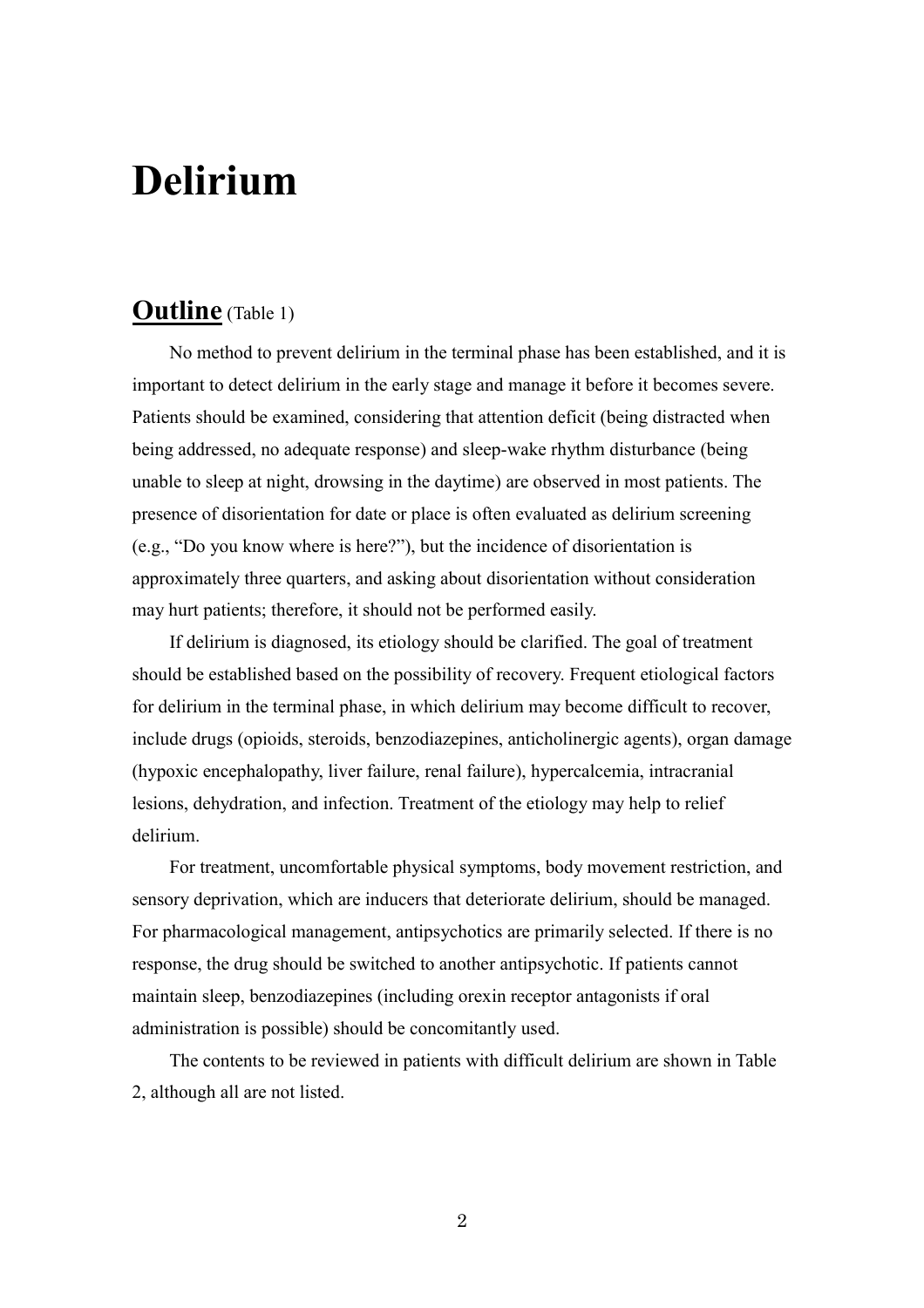# **Delirium**

# **Outline** (Table 1)

No method to prevent delirium in the terminal phase has been established, and it is important to detect delirium in the early stage and manage it before it becomes severe. Patients should be examined, considering that attention deficit (being distracted when being addressed, no adequate response) and sleep-wake rhythm disturbance (being unable to sleep at night, drowsing in the daytime) are observed in most patients. The presence of disorientation for date or place is often evaluated as delirium screening (e.g., "Do you know where is here?"), but the incidence of disorientation is approximately three quarters, and asking about disorientation without consideration may hurt patients; therefore, it should not be performed easily.

If delirium is diagnosed, its etiology should be clarified. The goal of treatment should be established based on the possibility of recovery. Frequent etiological factors for delirium in the terminal phase, in which delirium may become difficult to recover, include drugs (opioids, steroids, benzodiazepines, anticholinergic agents), organ damage (hypoxic encephalopathy, liver failure, renal failure), hypercalcemia, intracranial lesions, dehydration, and infection. Treatment of the etiology may help to relief delirium.

For treatment, uncomfortable physical symptoms, body movement restriction, and sensory deprivation, which are inducers that deteriorate delirium, should be managed. For pharmacological management, antipsychotics are primarily selected. If there is no response, the drug should be switched to another antipsychotic. If patients cannot maintain sleep, benzodiazepines (including orexin receptor antagonists if oral administration is possible) should be concomitantly used.

The contents to be reviewed in patients with difficult delirium are shown in Table 2, although all are not listed.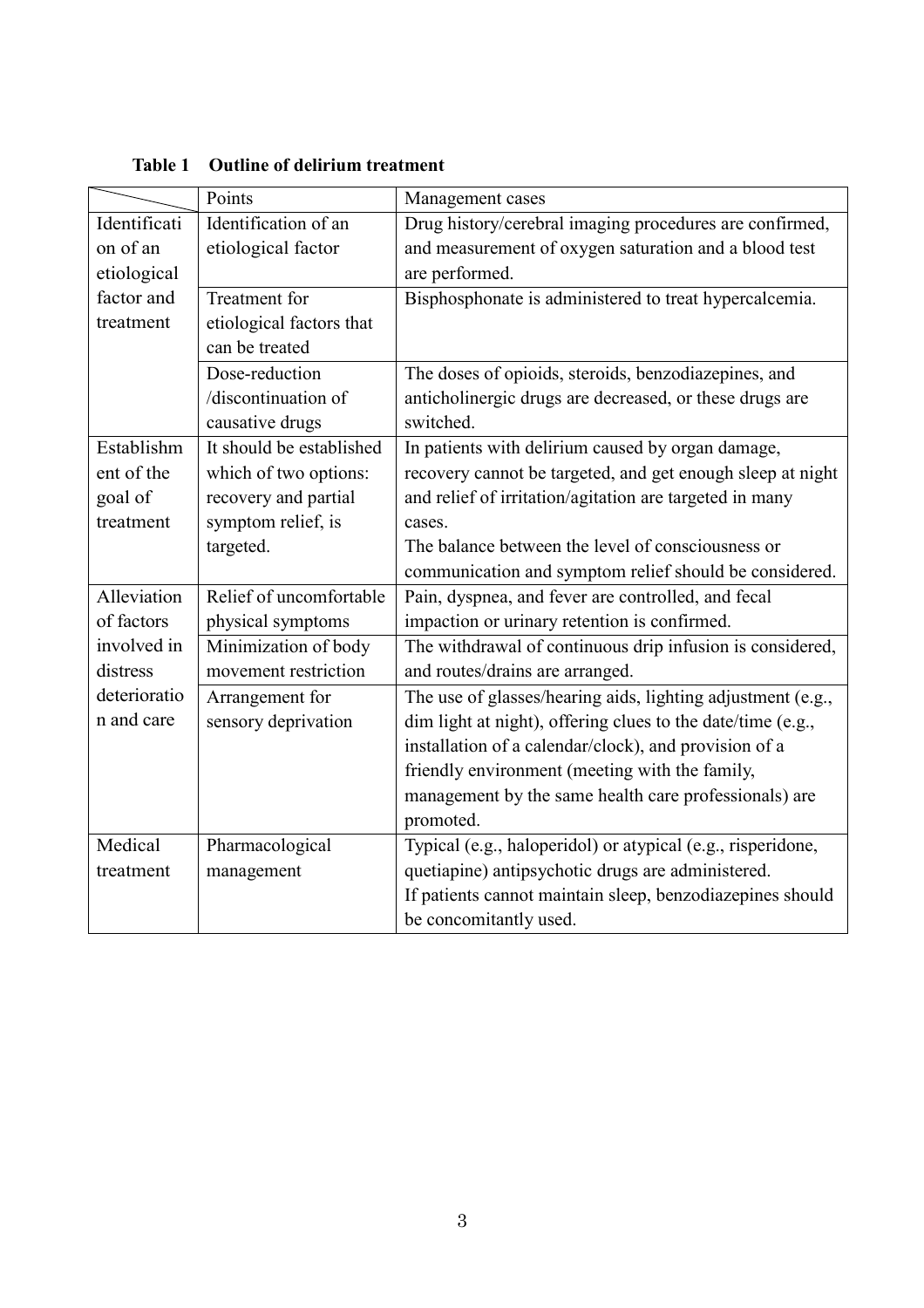|              | Points                   | Management cases                                            |
|--------------|--------------------------|-------------------------------------------------------------|
| Identificati | Identification of an     | Drug history/cerebral imaging procedures are confirmed,     |
| on of an     | etiological factor       | and measurement of oxygen saturation and a blood test       |
| etiological  |                          | are performed.                                              |
| factor and   | Treatment for            | Bisphosphonate is administered to treat hypercalcemia.      |
| treatment    | etiological factors that |                                                             |
|              | can be treated           |                                                             |
|              | Dose-reduction           | The doses of opioids, steroids, benzodiazepines, and        |
|              | /discontinuation of      | anticholinergic drugs are decreased, or these drugs are     |
|              | causative drugs          | switched.                                                   |
| Establishm   | It should be established | In patients with delirium caused by organ damage,           |
| ent of the   | which of two options:    | recovery cannot be targeted, and get enough sleep at night  |
| goal of      | recovery and partial     | and relief of irritation/agitation are targeted in many     |
| treatment    | symptom relief, is       | cases.                                                      |
|              | targeted.                | The balance between the level of consciousness or           |
|              |                          | communication and symptom relief should be considered.      |
| Alleviation  | Relief of uncomfortable  | Pain, dyspnea, and fever are controlled, and fecal          |
| of factors   | physical symptoms        | impaction or urinary retention is confirmed.                |
| involved in  | Minimization of body     | The withdrawal of continuous drip infusion is considered,   |
| distress     | movement restriction     | and routes/drains are arranged.                             |
| deterioratio | Arrangement for          | The use of glasses/hearing aids, lighting adjustment (e.g., |
| n and care   | sensory deprivation      | dim light at night), offering clues to the date/time (e.g., |
|              |                          | installation of a calendar/clock), and provision of a       |
|              |                          | friendly environment (meeting with the family,              |
|              |                          | management by the same health care professionals) are       |
|              |                          | promoted.                                                   |
| Medical      | Pharmacological          | Typical (e.g., haloperidol) or atypical (e.g., risperidone, |
| treatment    | management               | quetiapine) antipsychotic drugs are administered.           |
|              |                          | If patients cannot maintain sleep, benzodiazepines should   |
|              |                          | be concomitantly used.                                      |

**Table 1 Outline of delirium treatment**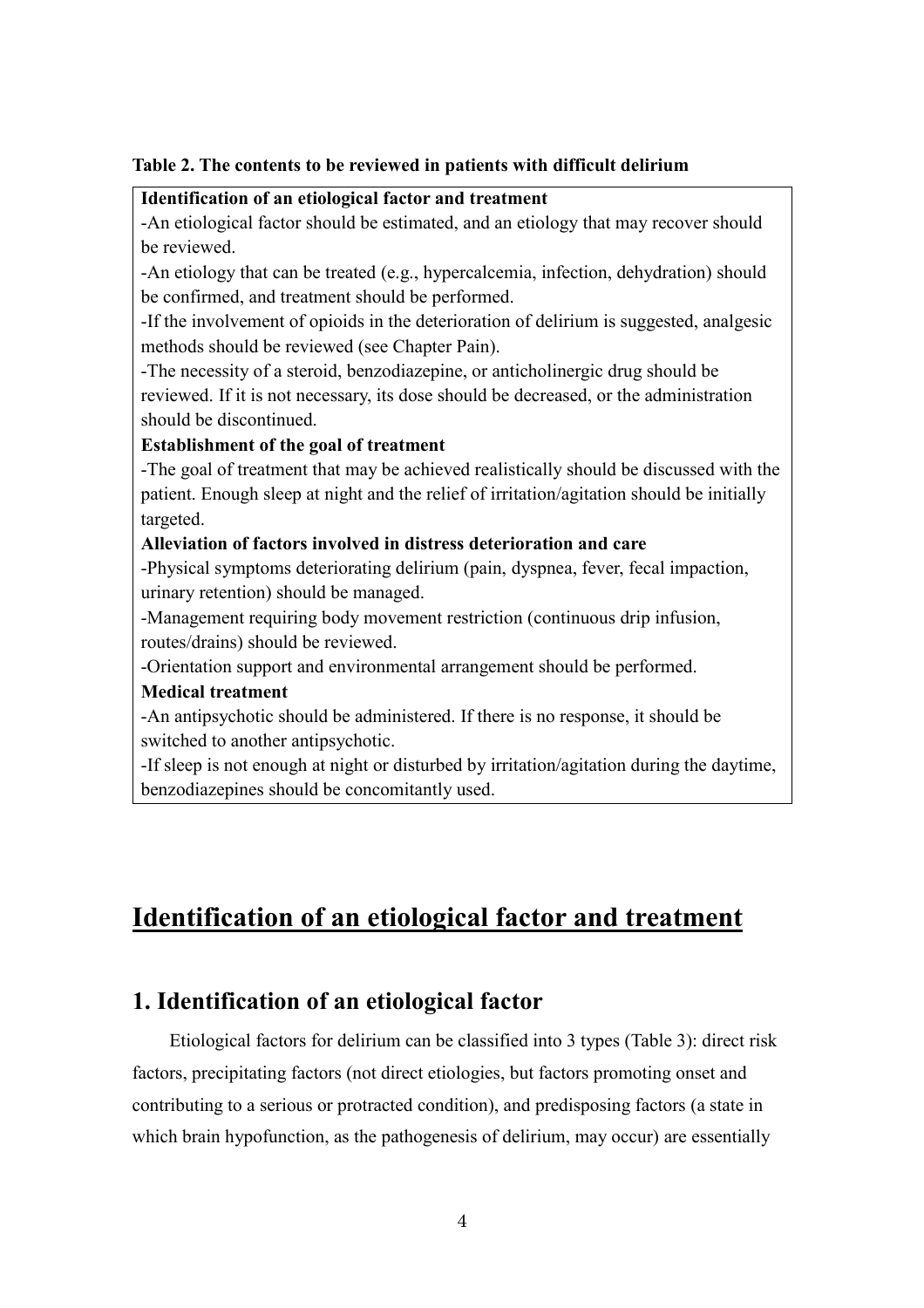#### **Table 2. The contents to be reviewed in patients with difficult delirium**

#### **Identification of an etiological factor and treatment**

-An etiological factor should be estimated, and an etiology that may recover should be reviewed.

-An etiology that can be treated (e.g., hypercalcemia, infection, dehydration) should be confirmed, and treatment should be performed.

-If the involvement of opioids in the deterioration of delirium is suggested, analgesic methods should be reviewed (see Chapter Pain).

-The necessity of a steroid, benzodiazepine, or anticholinergic drug should be reviewed. If it is not necessary, its dose should be decreased, or the administration should be discontinued.

#### **Establishment of the goal of treatment**

-The goal of treatment that may be achieved realistically should be discussed with the patient. Enough sleep at night and the relief of irritation/agitation should be initially targeted.

#### **Alleviation of factors involved in distress deterioration and care**

-Physical symptoms deteriorating delirium (pain, dyspnea, fever, fecal impaction, urinary retention) should be managed.

-Management requiring body movement restriction (continuous drip infusion, routes/drains) should be reviewed.

-Orientation support and environmental arrangement should be performed.

#### **Medical treatment**

-An antipsychotic should be administered. If there is no response, it should be switched to another antipsychotic.

-If sleep is not enough at night or disturbed by irritation/agitation during the daytime, benzodiazepines should be concomitantly used.

# **Identification of an etiological factor and treatment**

# **1. Identification of an etiological factor**

Etiological factors for delirium can be classified into 3 types (Table 3): direct risk factors, precipitating factors (not direct etiologies, but factors promoting onset and contributing to a serious or protracted condition), and predisposing factors (a state in which brain hypofunction, as the pathogenesis of delirium, may occur) are essentially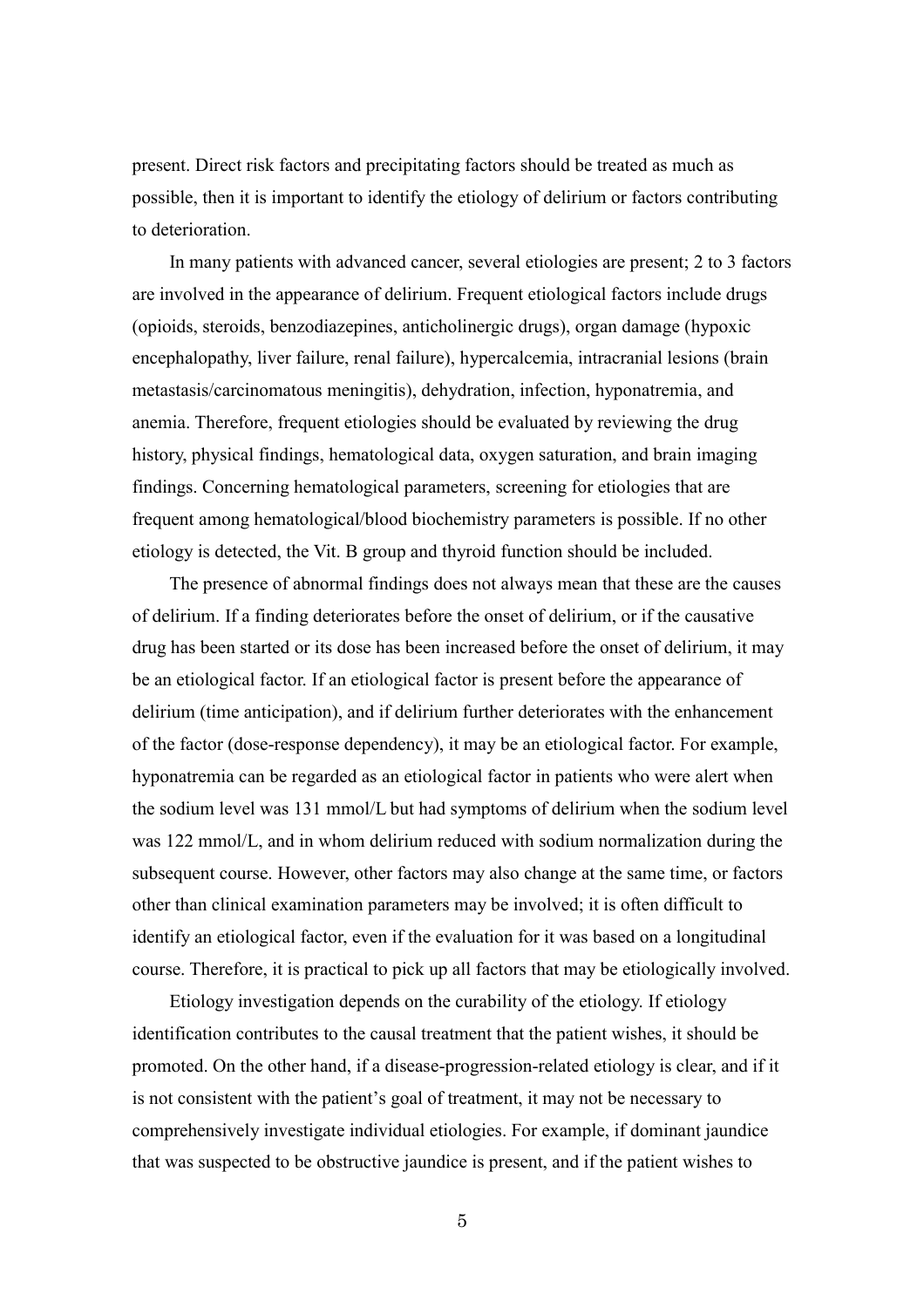present. Direct risk factors and precipitating factors should be treated as much as possible, then it is important to identify the etiology of delirium or factors contributing to deterioration.

In many patients with advanced cancer, several etiologies are present; 2 to 3 factors are involved in the appearance of delirium. Frequent etiological factors include drugs (opioids, steroids, benzodiazepines, anticholinergic drugs), organ damage (hypoxic encephalopathy, liver failure, renal failure), hypercalcemia, intracranial lesions (brain metastasis/carcinomatous meningitis), dehydration, infection, hyponatremia, and anemia. Therefore, frequent etiologies should be evaluated by reviewing the drug history, physical findings, hematological data, oxygen saturation, and brain imaging findings. Concerning hematological parameters, screening for etiologies that are frequent among hematological/blood biochemistry parameters is possible. If no other etiology is detected, the Vit. B group and thyroid function should be included.

The presence of abnormal findings does not always mean that these are the causes of delirium. If a finding deteriorates before the onset of delirium, or if the causative drug has been started or its dose has been increased before the onset of delirium, it may be an etiological factor. If an etiological factor is present before the appearance of delirium (time anticipation), and if delirium further deteriorates with the enhancement of the factor (dose-response dependency), it may be an etiological factor. For example, hyponatremia can be regarded as an etiological factor in patients who were alert when the sodium level was 131 mmol/L but had symptoms of delirium when the sodium level was 122 mmol/L, and in whom delirium reduced with sodium normalization during the subsequent course. However, other factors may also change at the same time, or factors other than clinical examination parameters may be involved; it is often difficult to identify an etiological factor, even if the evaluation for it was based on a longitudinal course. Therefore, it is practical to pick up all factors that may be etiologically involved.

Etiology investigation depends on the curability of the etiology. If etiology identification contributes to the causal treatment that the patient wishes, it should be promoted. On the other hand, if a disease-progression-related etiology is clear, and if it is not consistent with the patient's goal of treatment, it may not be necessary to comprehensively investigate individual etiologies. For example, if dominant jaundice that was suspected to be obstructive jaundice is present, and if the patient wishes to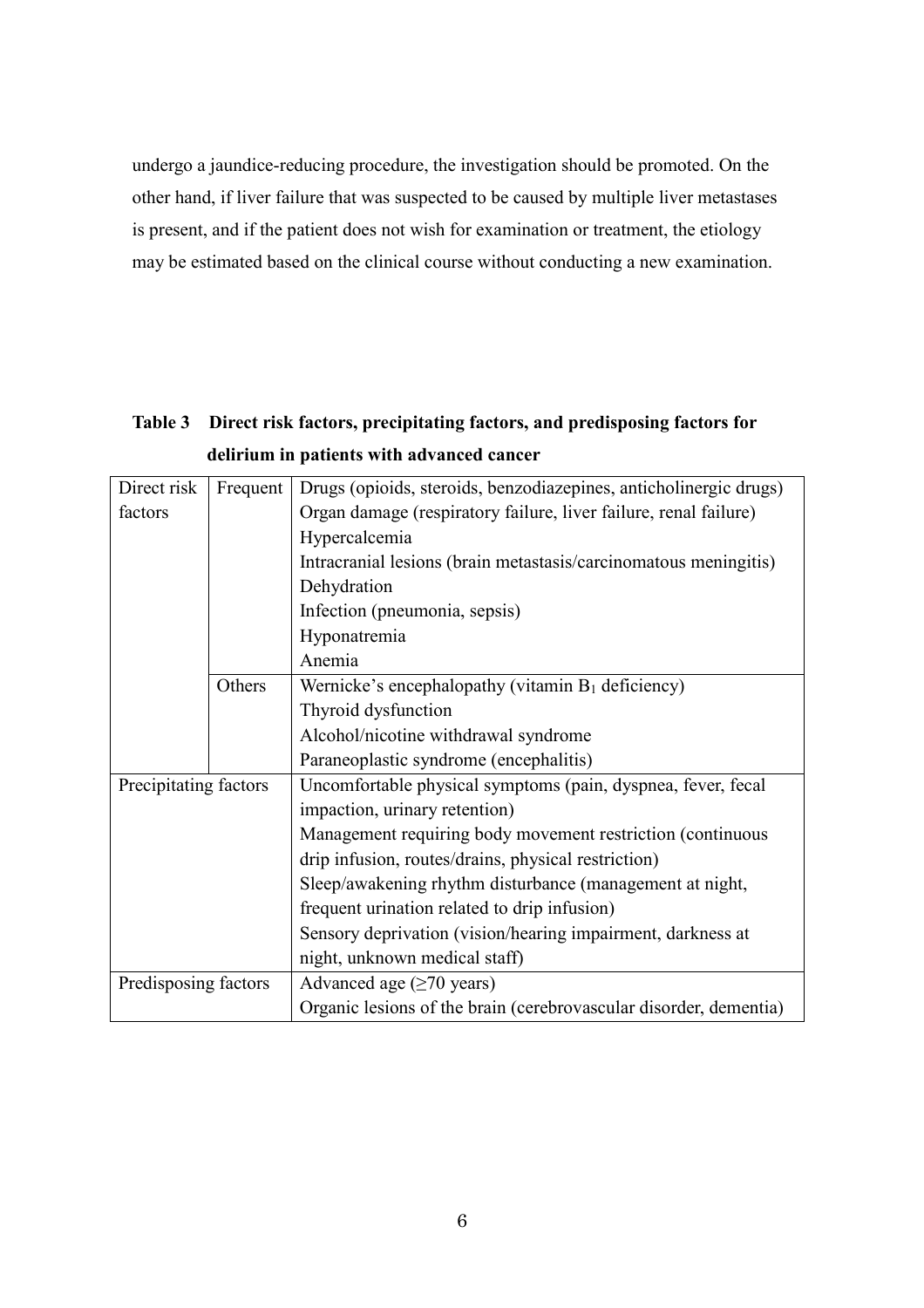undergo a jaundice-reducing procedure, the investigation should be promoted. On the other hand, if liver failure that was suspected to be caused by multiple liver metastases is present, and if the patient does not wish for examination or treatment, the etiology may be estimated based on the clinical course without conducting a new examination.

| Direct risk           | Frequent | Drugs (opioids, steroids, benzodiazepines, anticholinergic drugs) |
|-----------------------|----------|-------------------------------------------------------------------|
| factors               |          | Organ damage (respiratory failure, liver failure, renal failure)  |
|                       |          | Hypercalcemia                                                     |
|                       |          | Intracranial lesions (brain metastasis/carcinomatous meningitis)  |
|                       |          | Dehydration                                                       |
|                       |          | Infection (pneumonia, sepsis)                                     |
|                       |          | Hyponatremia                                                      |
|                       |          | Anemia                                                            |
|                       | Others   | Wernicke's encephalopathy (vitamin $B_1$ deficiency)              |
|                       |          | Thyroid dysfunction                                               |
|                       |          | Alcohol/nicotine withdrawal syndrome                              |
|                       |          | Paraneoplastic syndrome (encephalitis)                            |
| Precipitating factors |          | Uncomfortable physical symptoms (pain, dyspnea, fever, fecal      |
|                       |          | impaction, urinary retention)                                     |
|                       |          | Management requiring body movement restriction (continuous        |
|                       |          | drip infusion, routes/drains, physical restriction)               |
|                       |          | Sleep/awakening rhythm disturbance (management at night,          |
|                       |          | frequent urination related to drip infusion)                      |
|                       |          | Sensory deprivation (vision/hearing impairment, darkness at       |
|                       |          | night, unknown medical staff)                                     |
| Predisposing factors  |          | Advanced age $(\geq 70 \text{ years})$                            |
|                       |          | Organic lesions of the brain (cerebrovascular disorder, dementia) |

**Table 3 Direct risk factors, precipitating factors, and predisposing factors for delirium in patients with advanced cancer**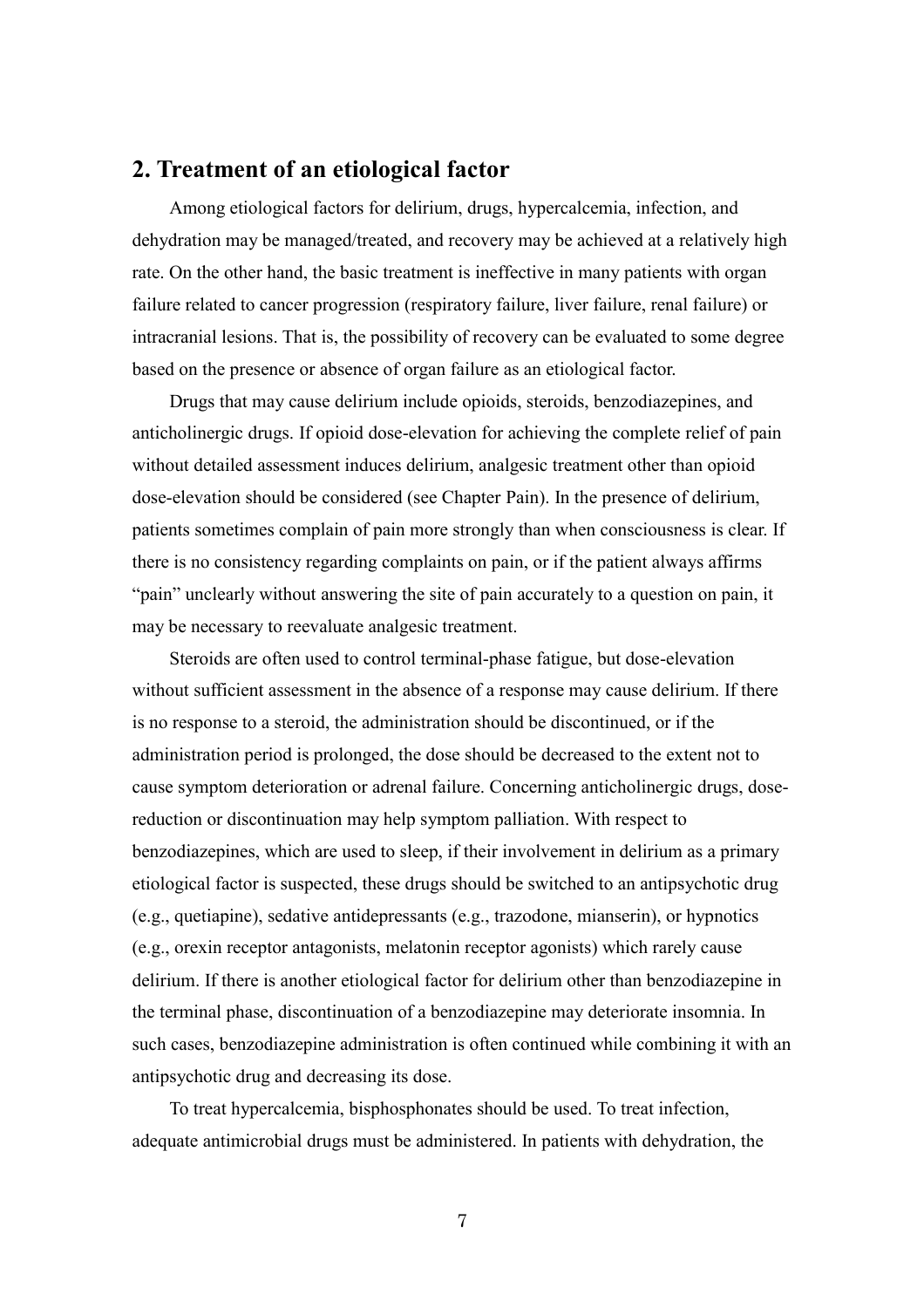# **2. Treatment of an etiological factor**

Among etiological factors for delirium, drugs, hypercalcemia, infection, and dehydration may be managed/treated, and recovery may be achieved at a relatively high rate. On the other hand, the basic treatment is ineffective in many patients with organ failure related to cancer progression (respiratory failure, liver failure, renal failure) or intracranial lesions. That is, the possibility of recovery can be evaluated to some degree based on the presence or absence of organ failure as an etiological factor.

Drugs that may cause delirium include opioids, steroids, benzodiazepines, and anticholinergic drugs. If opioid dose-elevation for achieving the complete relief of pain without detailed assessment induces delirium, analgesic treatment other than opioid dose-elevation should be considered (see Chapter Pain). In the presence of delirium, patients sometimes complain of pain more strongly than when consciousness is clear. If there is no consistency regarding complaints on pain, or if the patient always affirms "pain" unclearly without answering the site of pain accurately to a question on pain, it may be necessary to reevaluate analgesic treatment.

Steroids are often used to control terminal-phase fatigue, but dose-elevation without sufficient assessment in the absence of a response may cause delirium. If there is no response to a steroid, the administration should be discontinued, or if the administration period is prolonged, the dose should be decreased to the extent not to cause symptom deterioration or adrenal failure. Concerning anticholinergic drugs, dosereduction or discontinuation may help symptom palliation. With respect to benzodiazepines, which are used to sleep, if their involvement in delirium as a primary etiological factor is suspected, these drugs should be switched to an antipsychotic drug (e.g., quetiapine), sedative antidepressants (e.g., trazodone, mianserin), or hypnotics (e.g., orexin receptor antagonists, melatonin receptor agonists) which rarely cause delirium. If there is another etiological factor for delirium other than benzodiazepine in the terminal phase, discontinuation of a benzodiazepine may deteriorate insomnia. In such cases, benzodiazepine administration is often continued while combining it with an antipsychotic drug and decreasing its dose.

To treat hypercalcemia, bisphosphonates should be used. To treat infection, adequate antimicrobial drugs must be administered. In patients with dehydration, the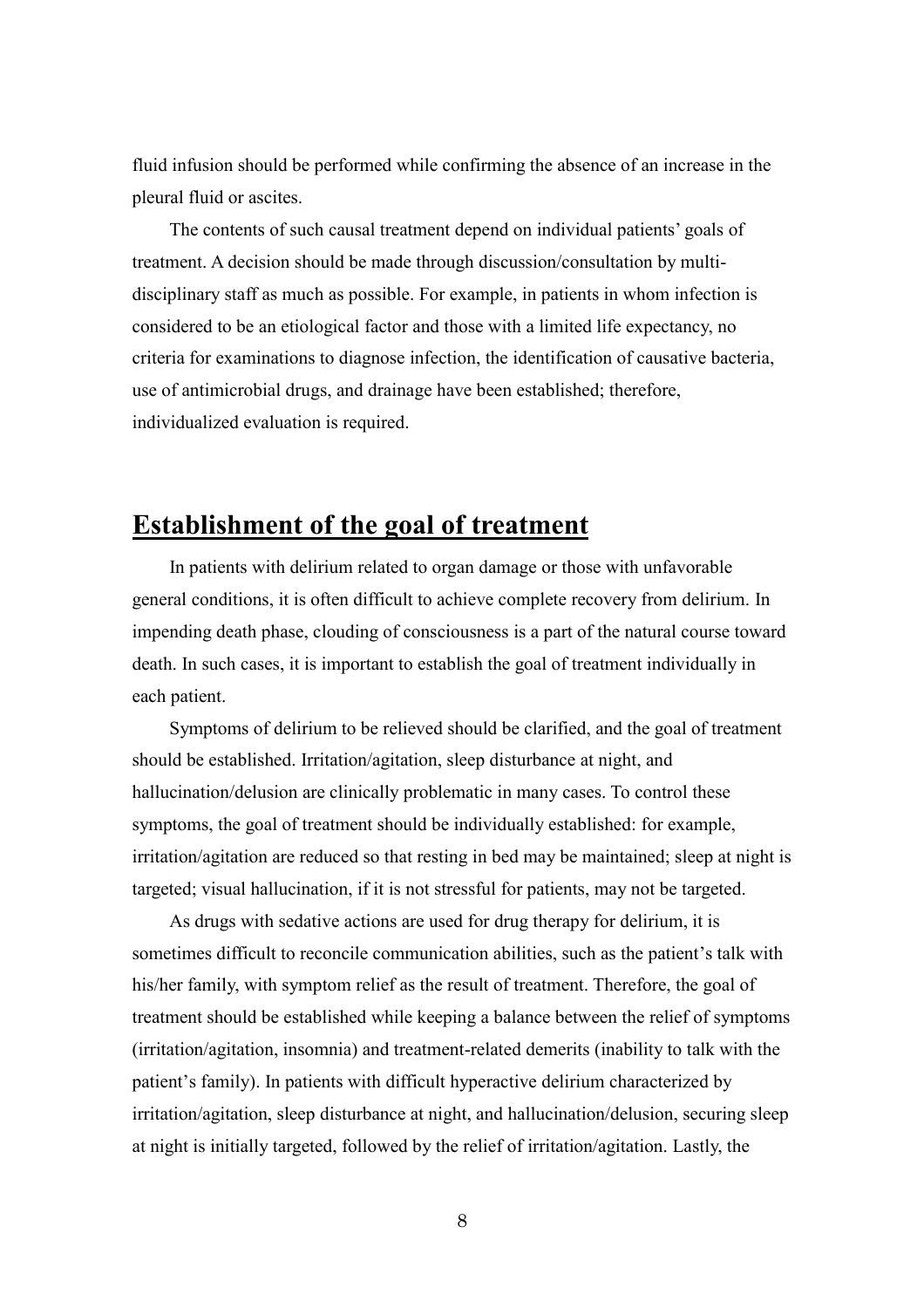fluid infusion should be performed while confirming the absence of an increase in the pleural fluid or ascites.

The contents of such causal treatment depend on individual patients' goals of treatment. A decision should be made through discussion/consultation by multidisciplinary staff as much as possible. For example, in patients in whom infection is considered to be an etiological factor and those with a limited life expectancy, no criteria for examinations to diagnose infection, the identification of causative bacteria, use of antimicrobial drugs, and drainage have been established; therefore, individualized evaluation is required.

# **Establishment of the goal of treatment**

In patients with delirium related to organ damage or those with unfavorable general conditions, it is often difficult to achieve complete recovery from delirium. In impending death phase, clouding of consciousness is a part of the natural course toward death. In such cases, it is important to establish the goal of treatment individually in each patient.

Symptoms of delirium to be relieved should be clarified, and the goal of treatment should be established. Irritation/agitation, sleep disturbance at night, and hallucination/delusion are clinically problematic in many cases. To control these symptoms, the goal of treatment should be individually established: for example, irritation/agitation are reduced so that resting in bed may be maintained; sleep at night is targeted; visual hallucination, if it is not stressful for patients, may not be targeted.

As drugs with sedative actions are used for drug therapy for delirium, it is sometimes difficult to reconcile communication abilities, such as the patient's talk with his/her family, with symptom relief as the result of treatment. Therefore, the goal of treatment should be established while keeping a balance between the relief of symptoms (irritation/agitation, insomnia) and treatment-related demerits (inability to talk with the patient's family). In patients with difficult hyperactive delirium characterized by irritation/agitation, sleep disturbance at night, and hallucination/delusion, securing sleep at night is initially targeted, followed by the relief of irritation/agitation. Lastly, the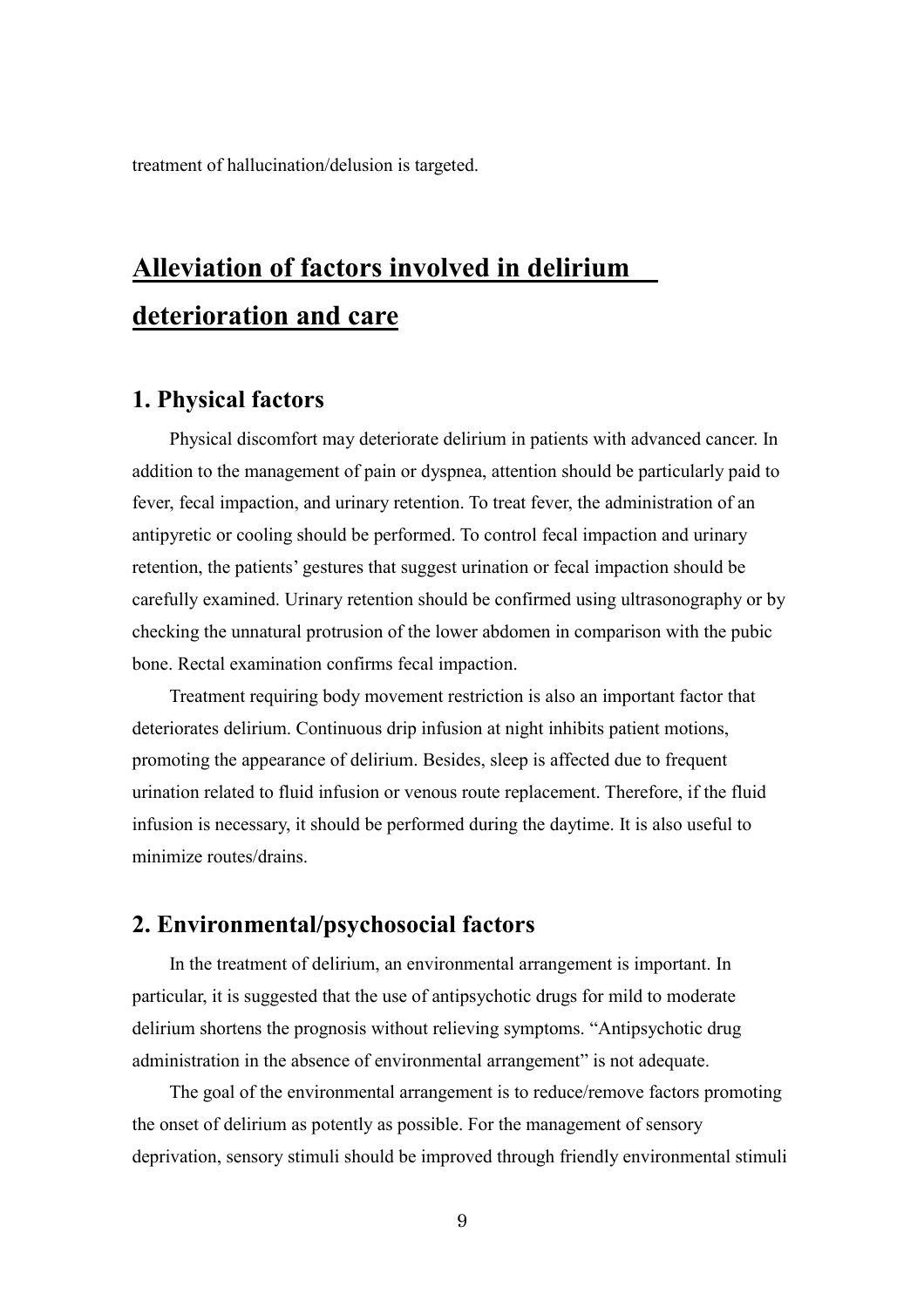treatment of hallucination/delusion is targeted.

# **Alleviation of factors involved in delirium deterioration and care**

### **1. Physical factors**

Physical discomfort may deteriorate delirium in patients with advanced cancer. In addition to the management of pain or dyspnea, attention should be particularly paid to fever, fecal impaction, and urinary retention. To treat fever, the administration of an antipyretic or cooling should be performed. To control fecal impaction and urinary retention, the patients' gestures that suggest urination or fecal impaction should be carefully examined. Urinary retention should be confirmed using ultrasonography or by checking the unnatural protrusion of the lower abdomen in comparison with the pubic bone. Rectal examination confirms fecal impaction.

Treatment requiring body movement restriction is also an important factor that deteriorates delirium. Continuous drip infusion at night inhibits patient motions, promoting the appearance of delirium. Besides, sleep is affected due to frequent urination related to fluid infusion or venous route replacement. Therefore, if the fluid infusion is necessary, it should be performed during the daytime. It is also useful to minimize routes/drains.

# **2. Environmental/psychosocial factors**

In the treatment of delirium, an environmental arrangement is important. In particular, it is suggested that the use of antipsychotic drugs for mild to moderate delirium shortens the prognosis without relieving symptoms. "Antipsychotic drug administration in the absence of environmental arrangement" is not adequate.

The goal of the environmental arrangement is to reduce/remove factors promoting the onset of delirium as potently as possible. For the management of sensory deprivation, sensory stimuli should be improved through friendly environmental stimuli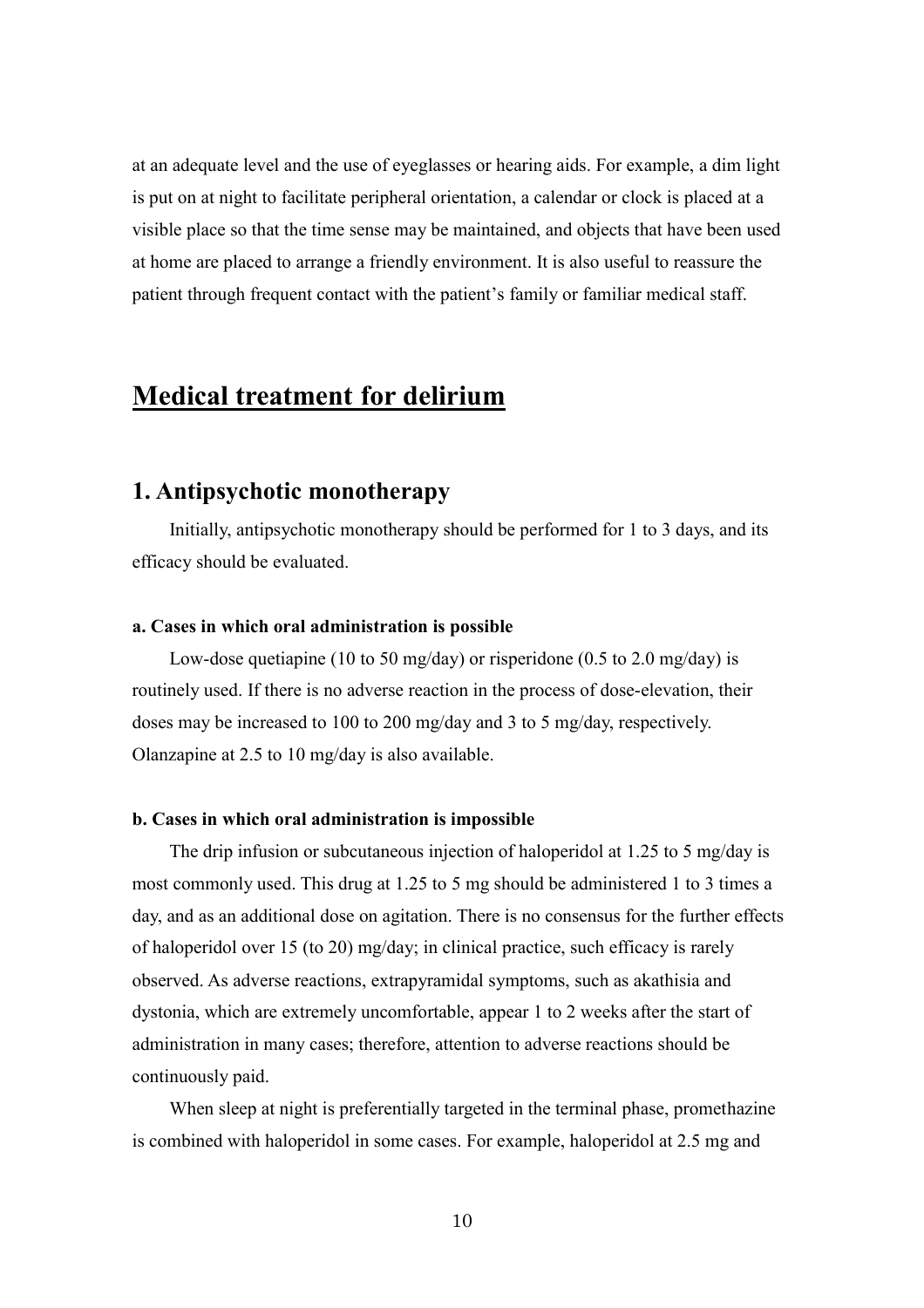at an adequate level and the use of eyeglasses or hearing aids. For example, a dim light is put on at night to facilitate peripheral orientation, a calendar or clock is placed at a visible place so that the time sense may be maintained, and objects that have been used at home are placed to arrange a friendly environment. It is also useful to reassure the patient through frequent contact with the patient's family or familiar medical staff.

# **Medical treatment for delirium**

# **1. Antipsychotic monotherapy**

Initially, antipsychotic monotherapy should be performed for 1 to 3 days, and its efficacy should be evaluated.

#### **a. Cases in which oral administration is possible**

Low-dose quetiapine (10 to 50 mg/day) or risperidone (0.5 to 2.0 mg/day) is routinely used. If there is no adverse reaction in the process of dose-elevation, their doses may be increased to 100 to 200 mg/day and 3 to 5 mg/day, respectively. Olanzapine at 2.5 to 10 mg/day is also available.

#### **b. Cases in which oral administration is impossible**

The drip infusion or subcutaneous injection of haloperidol at 1.25 to 5 mg/day is most commonly used. This drug at 1.25 to 5 mg should be administered 1 to 3 times a day, and as an additional dose on agitation. There is no consensus for the further effects of haloperidol over 15 (to 20) mg/day; in clinical practice, such efficacy is rarely observed. As adverse reactions, extrapyramidal symptoms, such as akathisia and dystonia, which are extremely uncomfortable, appear 1 to 2 weeks after the start of administration in many cases; therefore, attention to adverse reactions should be continuously paid.

When sleep at night is preferentially targeted in the terminal phase, promethazine is combined with haloperidol in some cases. For example, haloperidol at 2.5 mg and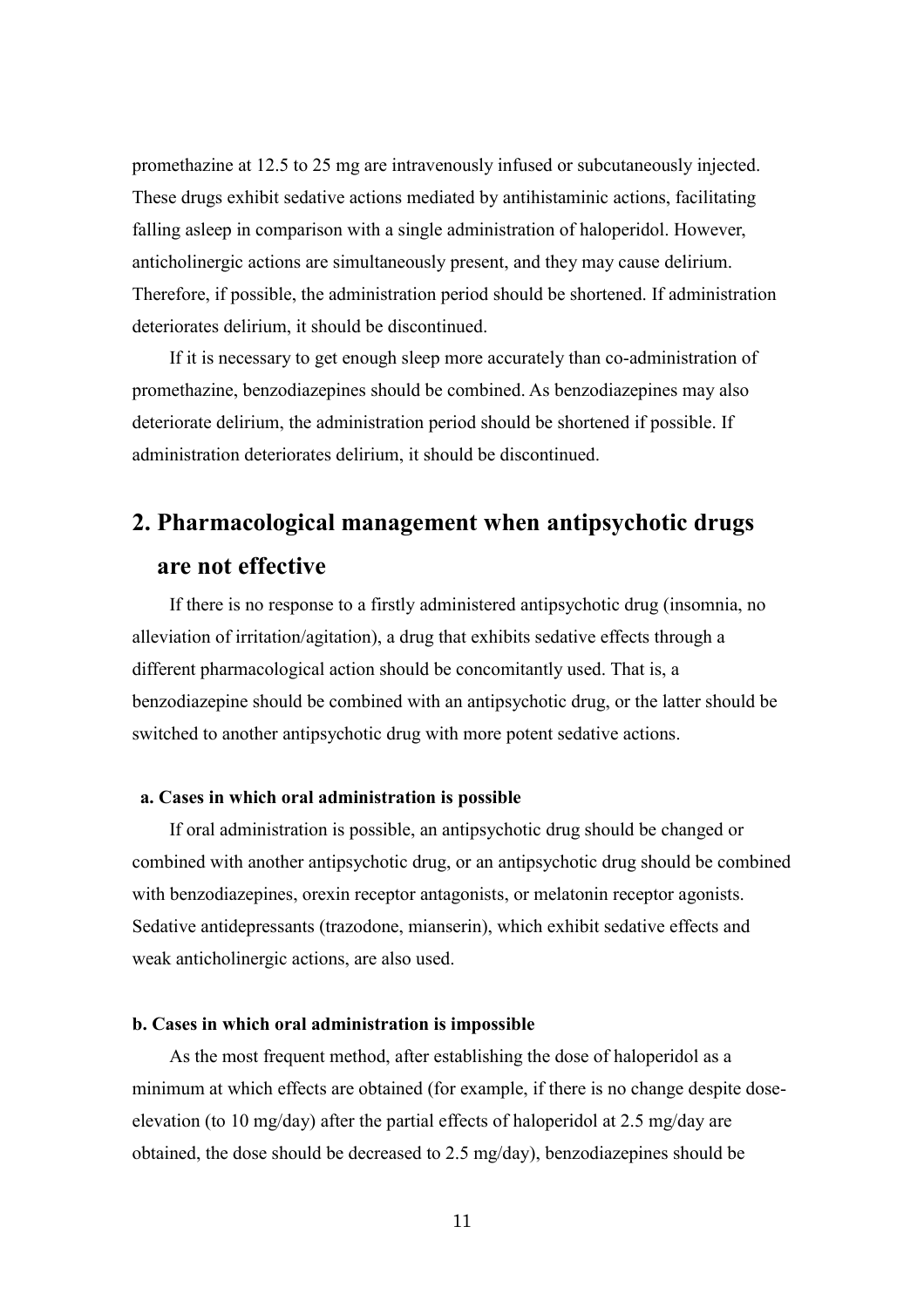promethazine at 12.5 to 25 mg are intravenously infused or subcutaneously injected. These drugs exhibit sedative actions mediated by antihistaminic actions, facilitating falling asleep in comparison with a single administration of haloperidol. However, anticholinergic actions are simultaneously present, and they may cause delirium. Therefore, if possible, the administration period should be shortened. If administration deteriorates delirium, it should be discontinued.

If it is necessary to get enough sleep more accurately than co-administration of promethazine, benzodiazepines should be combined. As benzodiazepines may also deteriorate delirium, the administration period should be shortened if possible. If administration deteriorates delirium, it should be discontinued.

# **2. Pharmacological management when antipsychotic drugs are not effective**

If there is no response to a firstly administered antipsychotic drug (insomnia, no alleviation of irritation/agitation), a drug that exhibits sedative effects through a different pharmacological action should be concomitantly used. That is, a benzodiazepine should be combined with an antipsychotic drug, or the latter should be switched to another antipsychotic drug with more potent sedative actions.

#### **a. Cases in which oral administration is possible**

If oral administration is possible, an antipsychotic drug should be changed or combined with another antipsychotic drug, or an antipsychotic drug should be combined with benzodiazepines, orexin receptor antagonists, or melatonin receptor agonists. Sedative antidepressants (trazodone, mianserin), which exhibit sedative effects and weak anticholinergic actions, are also used.

#### **b. Cases in which oral administration is impossible**

As the most frequent method, after establishing the dose of haloperidol as a minimum at which effects are obtained (for example, if there is no change despite doseelevation (to 10 mg/day) after the partial effects of haloperidol at 2.5 mg/day are obtained, the dose should be decreased to 2.5 mg/day), benzodiazepines should be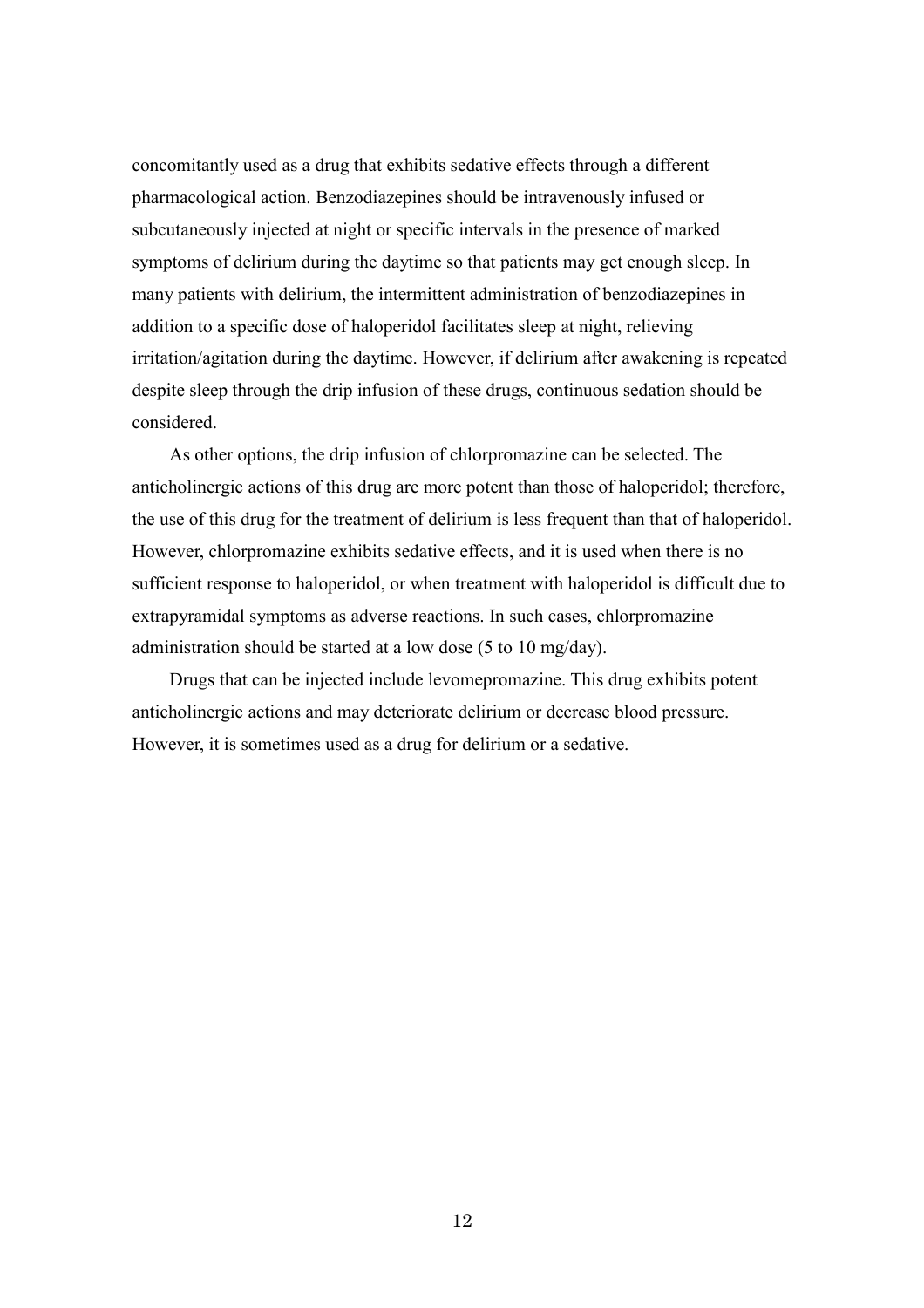concomitantly used as a drug that exhibits sedative effects through a different pharmacological action. Benzodiazepines should be intravenously infused or subcutaneously injected at night or specific intervals in the presence of marked symptoms of delirium during the daytime so that patients may get enough sleep. In many patients with delirium, the intermittent administration of benzodiazepines in addition to a specific dose of haloperidol facilitates sleep at night, relieving irritation/agitation during the daytime. However, if delirium after awakening is repeated despite sleep through the drip infusion of these drugs, continuous sedation should be considered.

As other options, the drip infusion of chlorpromazine can be selected. The anticholinergic actions of this drug are more potent than those of haloperidol; therefore, the use of this drug for the treatment of delirium is less frequent than that of haloperidol. However, chlorpromazine exhibits sedative effects, and it is used when there is no sufficient response to haloperidol, or when treatment with haloperidol is difficult due to extrapyramidal symptoms as adverse reactions. In such cases, chlorpromazine administration should be started at a low dose (5 to 10 mg/day).

Drugs that can be injected include levomepromazine. This drug exhibits potent anticholinergic actions and may deteriorate delirium or decrease blood pressure. However, it is sometimes used as a drug for delirium or a sedative.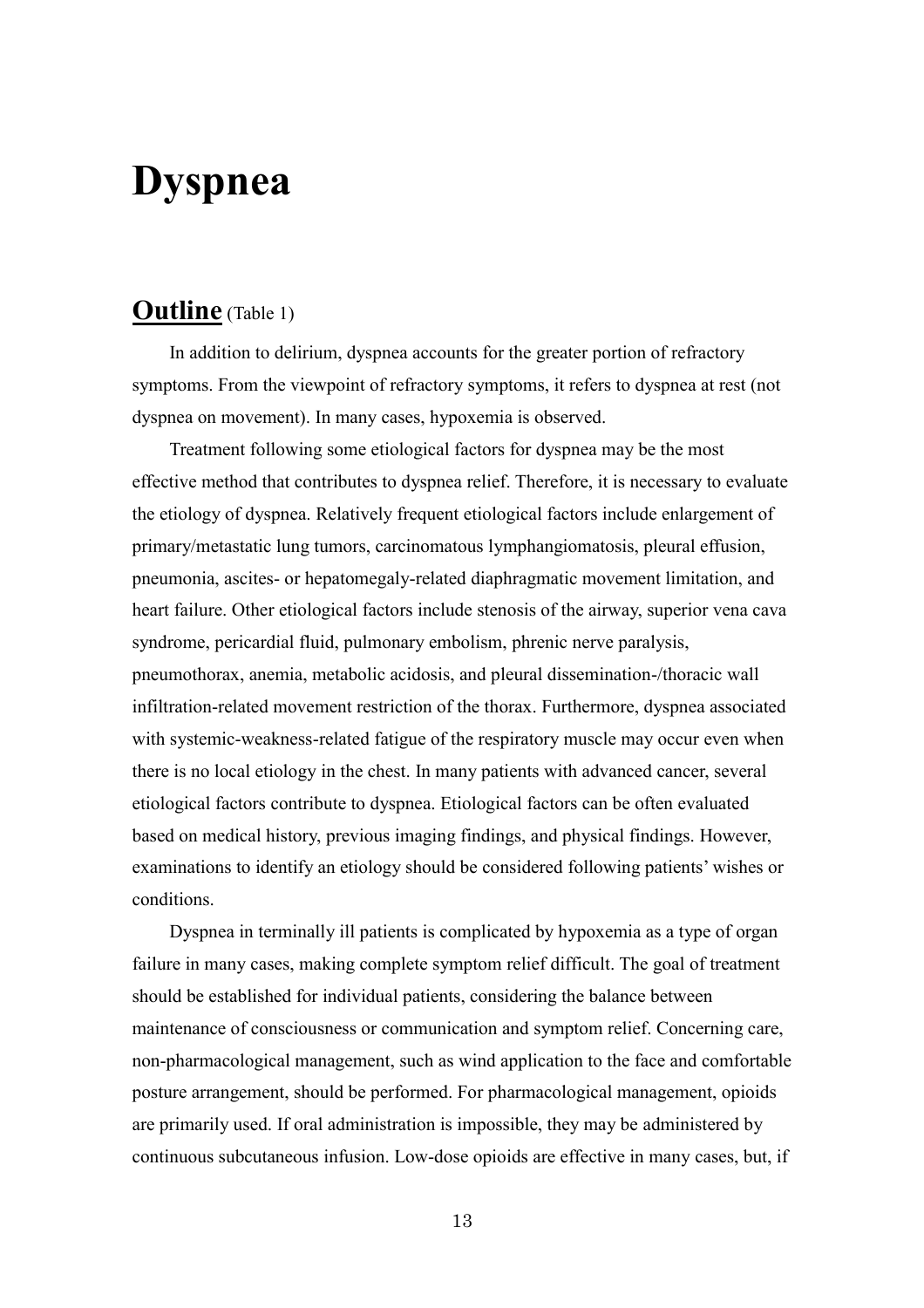# **Dyspnea**

# **Outline** (Table 1)

In addition to delirium, dyspnea accounts for the greater portion of refractory symptoms. From the viewpoint of refractory symptoms, it refers to dyspnea at rest (not dyspnea on movement). In many cases, hypoxemia is observed.

Treatment following some etiological factors for dyspnea may be the most effective method that contributes to dyspnea relief. Therefore, it is necessary to evaluate the etiology of dyspnea. Relatively frequent etiological factors include enlargement of primary/metastatic lung tumors, carcinomatous lymphangiomatosis, pleural effusion, pneumonia, ascites- or hepatomegaly-related diaphragmatic movement limitation, and heart failure. Other etiological factors include stenosis of the airway, superior vena cava syndrome, pericardial fluid, pulmonary embolism, phrenic nerve paralysis, pneumothorax, anemia, metabolic acidosis, and pleural dissemination-/thoracic wall infiltration-related movement restriction of the thorax. Furthermore, dyspnea associated with systemic-weakness-related fatigue of the respiratory muscle may occur even when there is no local etiology in the chest. In many patients with advanced cancer, several etiological factors contribute to dyspnea. Etiological factors can be often evaluated based on medical history, previous imaging findings, and physical findings. However, examinations to identify an etiology should be considered following patients' wishes or conditions.

Dyspnea in terminally ill patients is complicated by hypoxemia as a type of organ failure in many cases, making complete symptom relief difficult. The goal of treatment should be established for individual patients, considering the balance between maintenance of consciousness or communication and symptom relief. Concerning care, non-pharmacological management, such as wind application to the face and comfortable posture arrangement, should be performed. For pharmacological management, opioids are primarily used. If oral administration is impossible, they may be administered by continuous subcutaneous infusion. Low-dose opioids are effective in many cases, but, if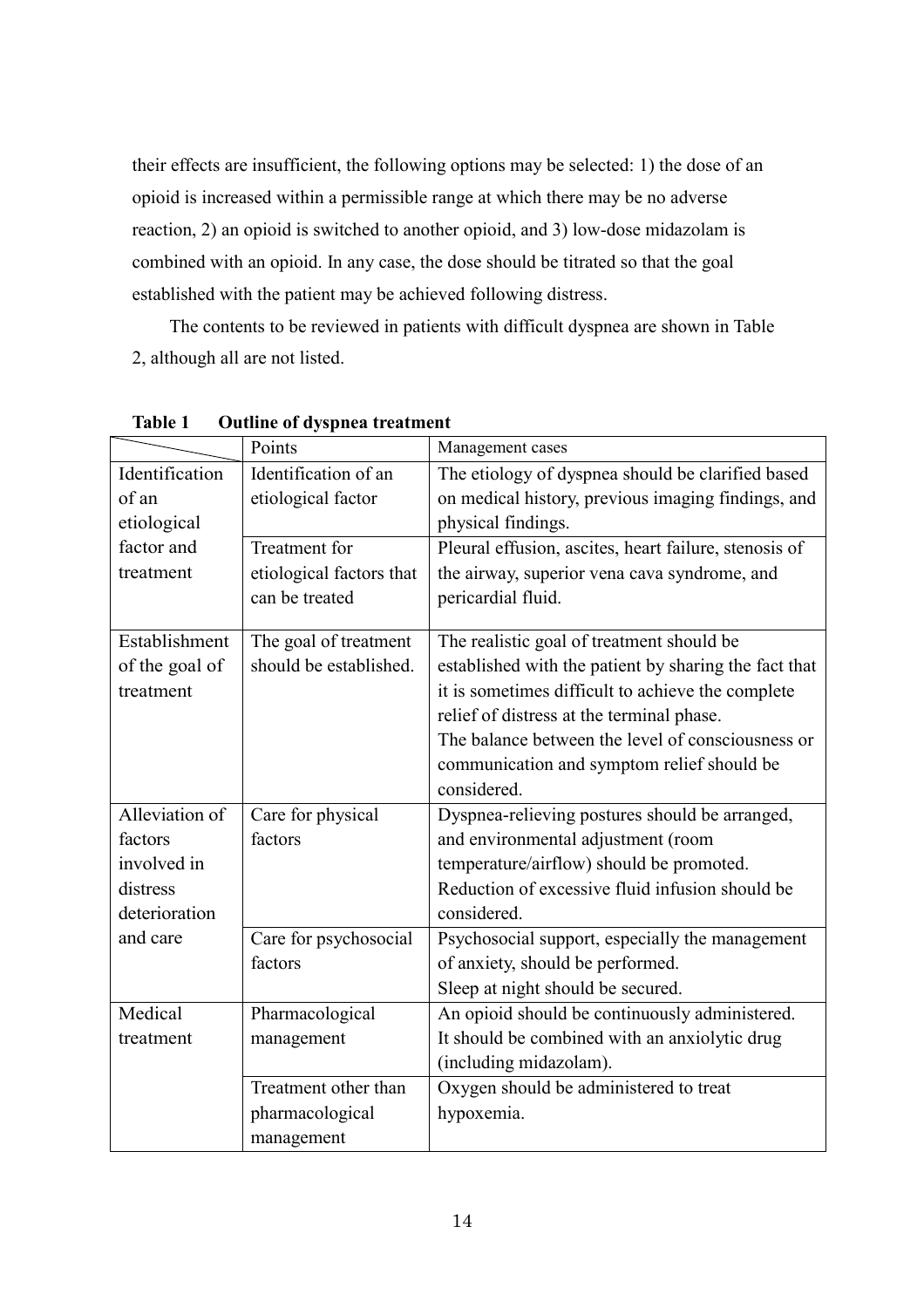their effects are insufficient, the following options may be selected: 1) the dose of an opioid is increased within a permissible range at which there may be no adverse reaction, 2) an opioid is switched to another opioid, and 3) low-dose midazolam is combined with an opioid. In any case, the dose should be titrated so that the goal established with the patient may be achieved following distress.

The contents to be reviewed in patients with difficult dyspnea are shown in Table 2, although all are not listed.

|                | Points                                            | Management cases                                      |  |
|----------------|---------------------------------------------------|-------------------------------------------------------|--|
| Identification | Identification of an                              | The etiology of dyspnea should be clarified based     |  |
| of an          | etiological factor                                | on medical history, previous imaging findings, and    |  |
| etiological    |                                                   | physical findings.                                    |  |
| factor and     | Treatment for                                     | Pleural effusion, ascites, heart failure, stenosis of |  |
| treatment      | etiological factors that                          | the airway, superior vena cava syndrome, and          |  |
|                | can be treated                                    | pericardial fluid.                                    |  |
| Establishment  | The goal of treatment                             | The realistic goal of treatment should be             |  |
| of the goal of | should be established.                            | established with the patient by sharing the fact that |  |
| treatment      | it is sometimes difficult to achieve the complete |                                                       |  |
|                |                                                   | relief of distress at the terminal phase.             |  |
|                |                                                   | The balance between the level of consciousness or     |  |
|                |                                                   | communication and symptom relief should be            |  |
|                |                                                   | considered.                                           |  |
| Alleviation of | Care for physical                                 | Dyspnea-relieving postures should be arranged,        |  |
| factors        | factors                                           | and environmental adjustment (room                    |  |
| involved in    |                                                   | temperature/airflow) should be promoted.              |  |
| distress       |                                                   | Reduction of excessive fluid infusion should be       |  |
| deterioration  |                                                   | considered.                                           |  |
| and care       | Care for psychosocial                             | Psychosocial support, especially the management       |  |
|                | factors                                           | of anxiety, should be performed.                      |  |
|                |                                                   | Sleep at night should be secured.                     |  |
| Medical        | Pharmacological                                   | An opioid should be continuously administered.        |  |
| treatment      | management                                        | It should be combined with an anxiolytic drug         |  |
|                |                                                   | (including midazolam).                                |  |
|                | Treatment other than                              | Oxygen should be administered to treat                |  |
|                | pharmacological                                   | hypoxemia.                                            |  |
|                | management                                        |                                                       |  |

**Table 1 Outline of dyspnea treatment**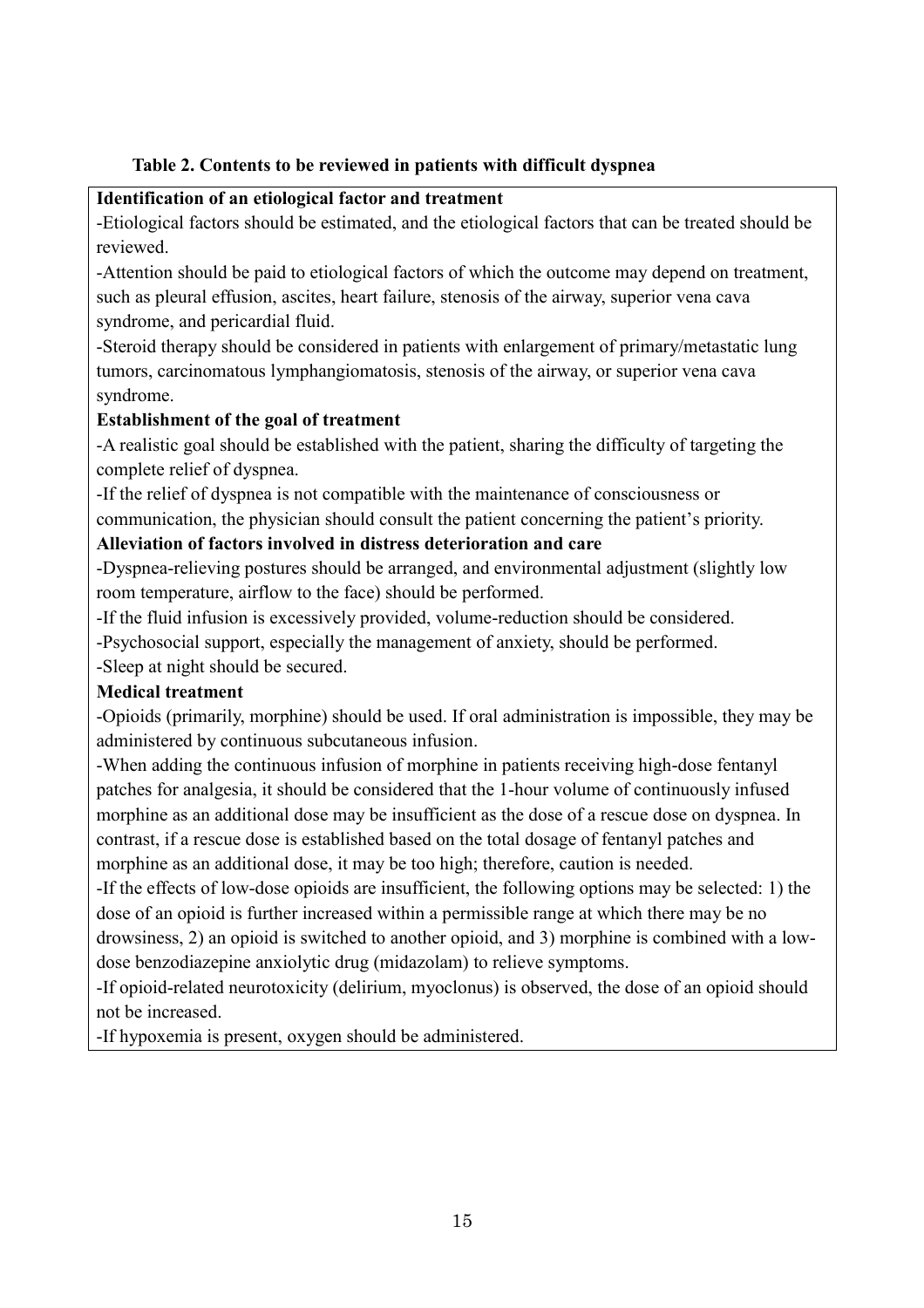### **Table 2. Contents to be reviewed in patients with difficult dyspnea**

#### **Identification of an etiological factor and treatment**

-Etiological factors should be estimated, and the etiological factors that can be treated should be reviewed.

-Attention should be paid to etiological factors of which the outcome may depend on treatment, such as pleural effusion, ascites, heart failure, stenosis of the airway, superior vena cava syndrome, and pericardial fluid.

-Steroid therapy should be considered in patients with enlargement of primary/metastatic lung tumors, carcinomatous lymphangiomatosis, stenosis of the airway, or superior vena cava syndrome.

### **Establishment of the goal of treatment**

-A realistic goal should be established with the patient, sharing the difficulty of targeting the complete relief of dyspnea.

-If the relief of dyspnea is not compatible with the maintenance of consciousness or communication, the physician should consult the patient concerning the patient's priority.

### **Alleviation of factors involved in distress deterioration and care**

-Dyspnea-relieving postures should be arranged, and environmental adjustment (slightly low room temperature, airflow to the face) should be performed.

-If the fluid infusion is excessively provided, volume-reduction should be considered.

-Psychosocial support, especially the management of anxiety, should be performed.

-Sleep at night should be secured.

### **Medical treatment**

-Opioids (primarily, morphine) should be used. If oral administration is impossible, they may be administered by continuous subcutaneous infusion.

-When adding the continuous infusion of morphine in patients receiving high-dose fentanyl patches for analgesia, it should be considered that the 1-hour volume of continuously infused morphine as an additional dose may be insufficient as the dose of a rescue dose on dyspnea. In contrast, if a rescue dose is established based on the total dosage of fentanyl patches and morphine as an additional dose, it may be too high; therefore, caution is needed.

-If the effects of low-dose opioids are insufficient, the following options may be selected: 1) the dose of an opioid is further increased within a permissible range at which there may be no drowsiness, 2) an opioid is switched to another opioid, and 3) morphine is combined with a lowdose benzodiazepine anxiolytic drug (midazolam) to relieve symptoms.

-If opioid-related neurotoxicity (delirium, myoclonus) is observed, the dose of an opioid should not be increased.

-If hypoxemia is present, oxygen should be administered.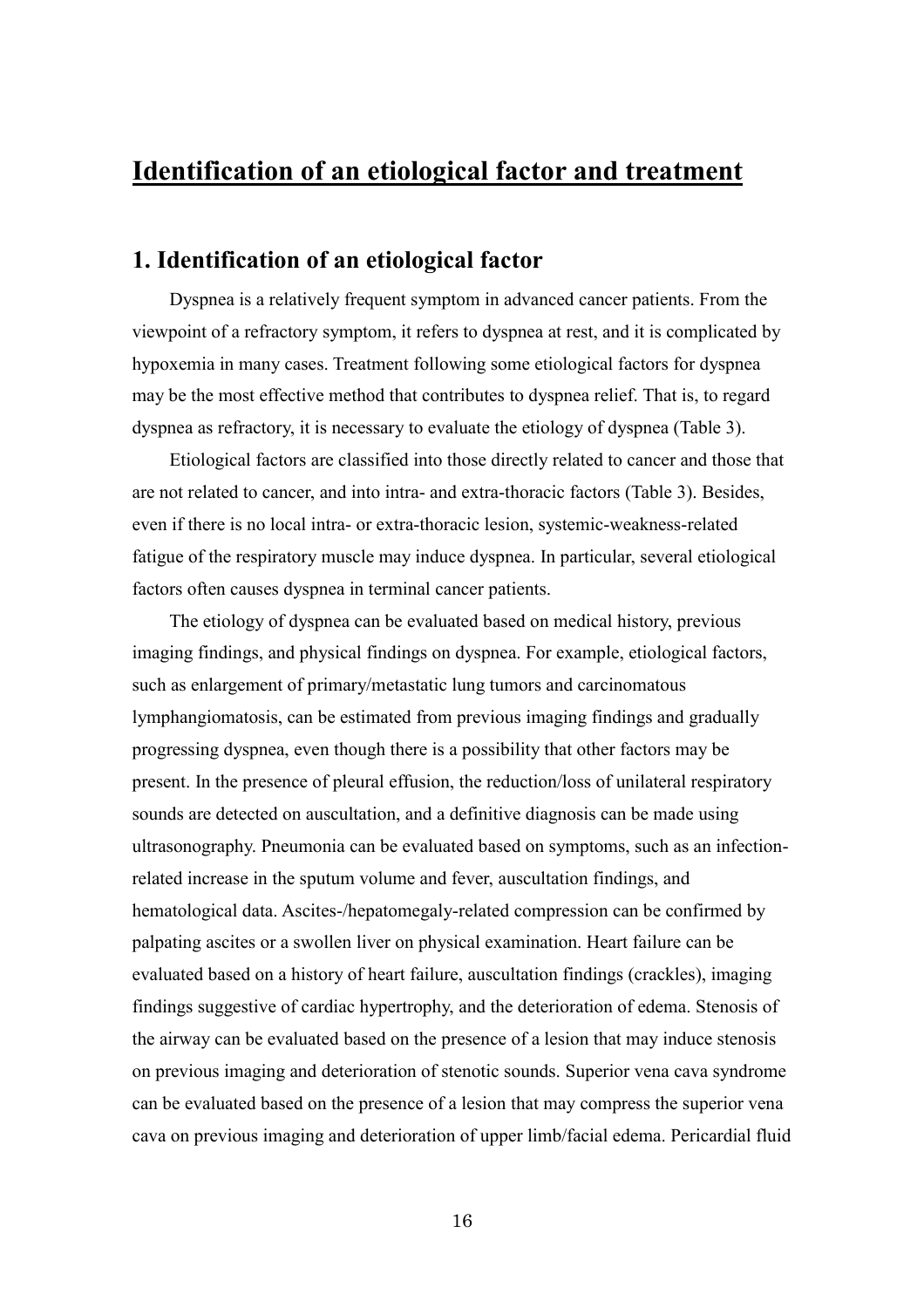# **Identification of an etiological factor and treatment**

### **1. Identification of an etiological factor**

Dyspnea is a relatively frequent symptom in advanced cancer patients. From the viewpoint of a refractory symptom, it refers to dyspnea at rest, and it is complicated by hypoxemia in many cases. Treatment following some etiological factors for dyspnea may be the most effective method that contributes to dyspnea relief. That is, to regard dyspnea as refractory, it is necessary to evaluate the etiology of dyspnea (Table 3).

Etiological factors are classified into those directly related to cancer and those that are not related to cancer, and into intra- and extra-thoracic factors (Table 3). Besides, even if there is no local intra- or extra-thoracic lesion, systemic-weakness-related fatigue of the respiratory muscle may induce dyspnea. In particular, several etiological factors often causes dyspnea in terminal cancer patients.

The etiology of dyspnea can be evaluated based on medical history, previous imaging findings, and physical findings on dyspnea. For example, etiological factors, such as enlargement of primary/metastatic lung tumors and carcinomatous lymphangiomatosis, can be estimated from previous imaging findings and gradually progressing dyspnea, even though there is a possibility that other factors may be present. In the presence of pleural effusion, the reduction/loss of unilateral respiratory sounds are detected on auscultation, and a definitive diagnosis can be made using ultrasonography. Pneumonia can be evaluated based on symptoms, such as an infectionrelated increase in the sputum volume and fever, auscultation findings, and hematological data. Ascites-/hepatomegaly-related compression can be confirmed by palpating ascites or a swollen liver on physical examination. Heart failure can be evaluated based on a history of heart failure, auscultation findings (crackles), imaging findings suggestive of cardiac hypertrophy, and the deterioration of edema. Stenosis of the airway can be evaluated based on the presence of a lesion that may induce stenosis on previous imaging and deterioration of stenotic sounds. Superior vena cava syndrome can be evaluated based on the presence of a lesion that may compress the superior vena cava on previous imaging and deterioration of upper limb/facial edema. Pericardial fluid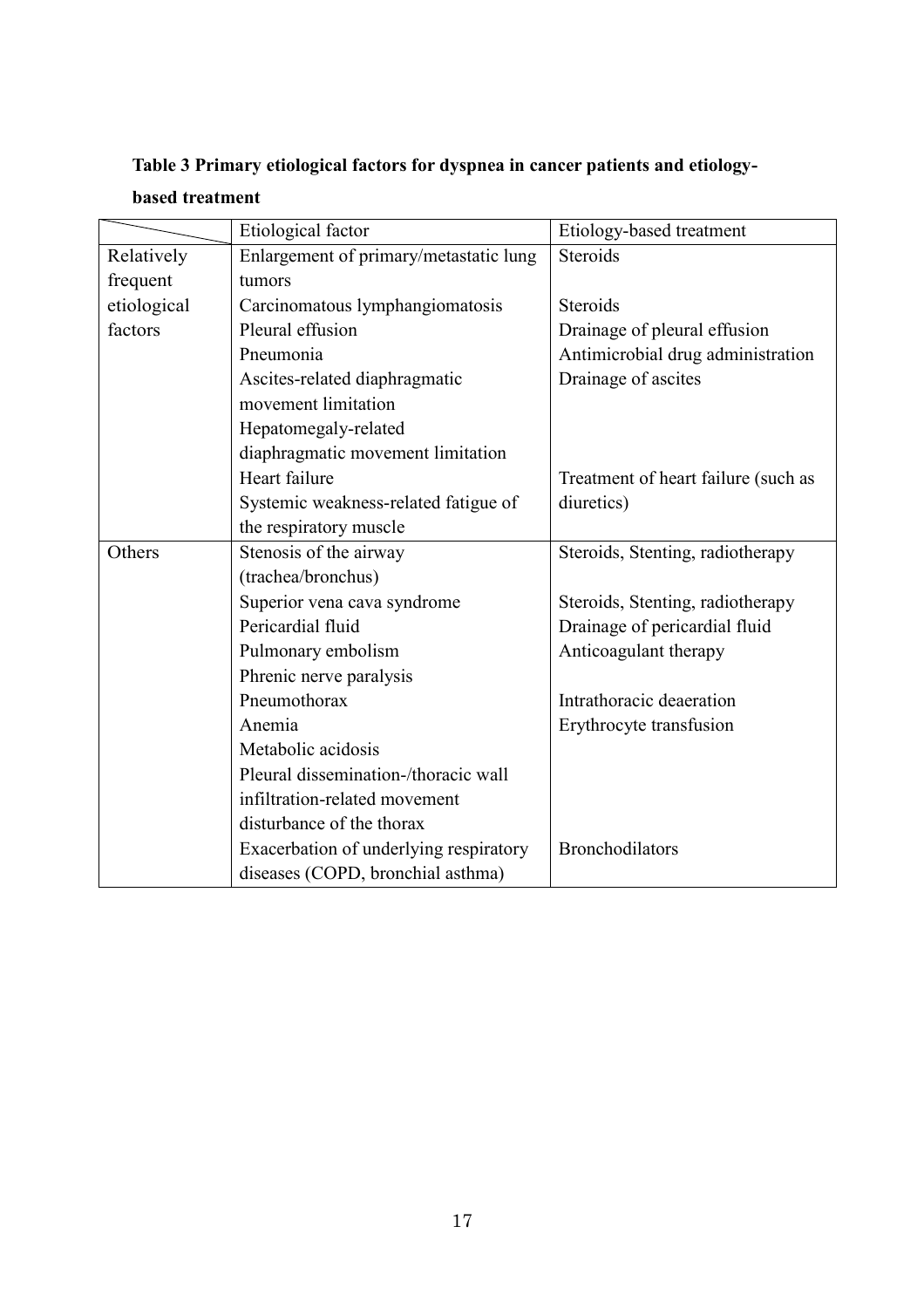|             | Etiological factor                     |                                     |
|-------------|----------------------------------------|-------------------------------------|
|             |                                        | Etiology-based treatment            |
| Relatively  | Enlargement of primary/metastatic lung | Steroids                            |
| frequent    | tumors                                 |                                     |
| etiological | Carcinomatous lymphangiomatosis        | Steroids                            |
| factors     | Pleural effusion                       | Drainage of pleural effusion        |
|             | Pneumonia                              | Antimicrobial drug administration   |
|             | Ascites-related diaphragmatic          | Drainage of ascites                 |
|             | movement limitation                    |                                     |
|             | Hepatomegaly-related                   |                                     |
|             | diaphragmatic movement limitation      |                                     |
|             | Heart failure                          | Treatment of heart failure (such as |
|             | Systemic weakness-related fatigue of   | diuretics)                          |
|             | the respiratory muscle                 |                                     |
| Others      | Stenosis of the airway                 | Steroids, Stenting, radiotherapy    |
|             | (trachea/bronchus)                     |                                     |
|             | Superior vena cava syndrome            | Steroids, Stenting, radiotherapy    |
|             | Pericardial fluid                      | Drainage of pericardial fluid       |
|             | Pulmonary embolism                     | Anticoagulant therapy               |
|             | Phrenic nerve paralysis                |                                     |
|             | Pneumothorax                           | Intrathoracic deaeration            |
|             | Anemia                                 | Erythrocyte transfusion             |
|             | Metabolic acidosis                     |                                     |
|             | Pleural dissemination-/thoracic wall   |                                     |
|             | infiltration-related movement          |                                     |
|             | disturbance of the thorax              |                                     |
|             | Exacerbation of underlying respiratory | <b>Bronchodilators</b>              |
|             | diseases (COPD, bronchial asthma)      |                                     |

# **Table 3 Primary etiological factors for dyspnea in cancer patients and etiology-**

## **based treatment**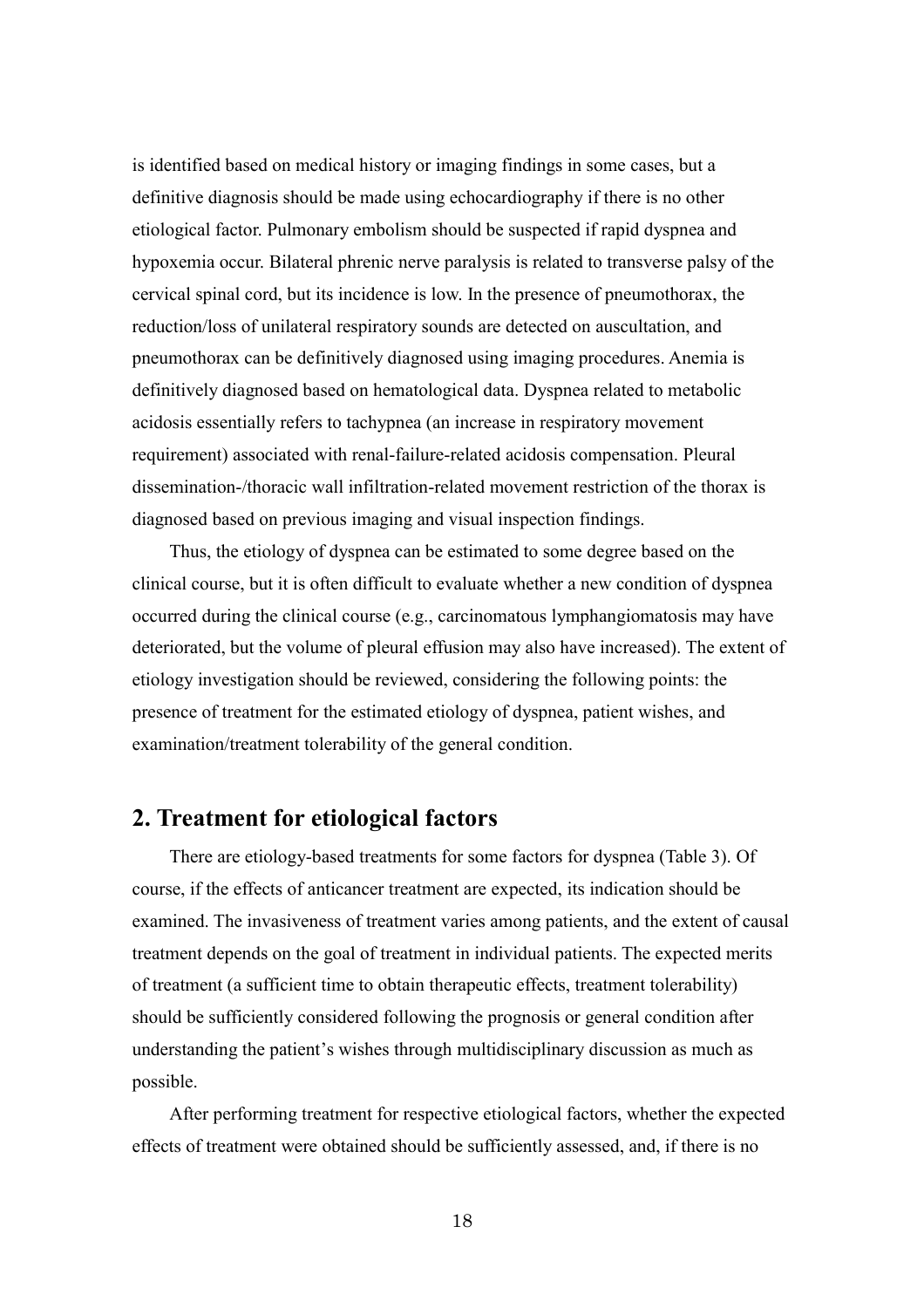is identified based on medical history or imaging findings in some cases, but a definitive diagnosis should be made using echocardiography if there is no other etiological factor. Pulmonary embolism should be suspected if rapid dyspnea and hypoxemia occur. Bilateral phrenic nerve paralysis is related to transverse palsy of the cervical spinal cord, but its incidence is low. In the presence of pneumothorax, the reduction/loss of unilateral respiratory sounds are detected on auscultation, and pneumothorax can be definitively diagnosed using imaging procedures. Anemia is definitively diagnosed based on hematological data. Dyspnea related to metabolic acidosis essentially refers to tachypnea (an increase in respiratory movement requirement) associated with renal-failure-related acidosis compensation. Pleural dissemination-/thoracic wall infiltration-related movement restriction of the thorax is diagnosed based on previous imaging and visual inspection findings.

Thus, the etiology of dyspnea can be estimated to some degree based on the clinical course, but it is often difficult to evaluate whether a new condition of dyspnea occurred during the clinical course (e.g., carcinomatous lymphangiomatosis may have deteriorated, but the volume of pleural effusion may also have increased). The extent of etiology investigation should be reviewed, considering the following points: the presence of treatment for the estimated etiology of dyspnea, patient wishes, and examination/treatment tolerability of the general condition.

## **2. Treatment for etiological factors**

There are etiology-based treatments for some factors for dyspnea (Table 3). Of course, if the effects of anticancer treatment are expected, its indication should be examined. The invasiveness of treatment varies among patients, and the extent of causal treatment depends on the goal of treatment in individual patients. The expected merits of treatment (a sufficient time to obtain therapeutic effects, treatment tolerability) should be sufficiently considered following the prognosis or general condition after understanding the patient's wishes through multidisciplinary discussion as much as possible.

After performing treatment for respective etiological factors, whether the expected effects of treatment were obtained should be sufficiently assessed, and, if there is no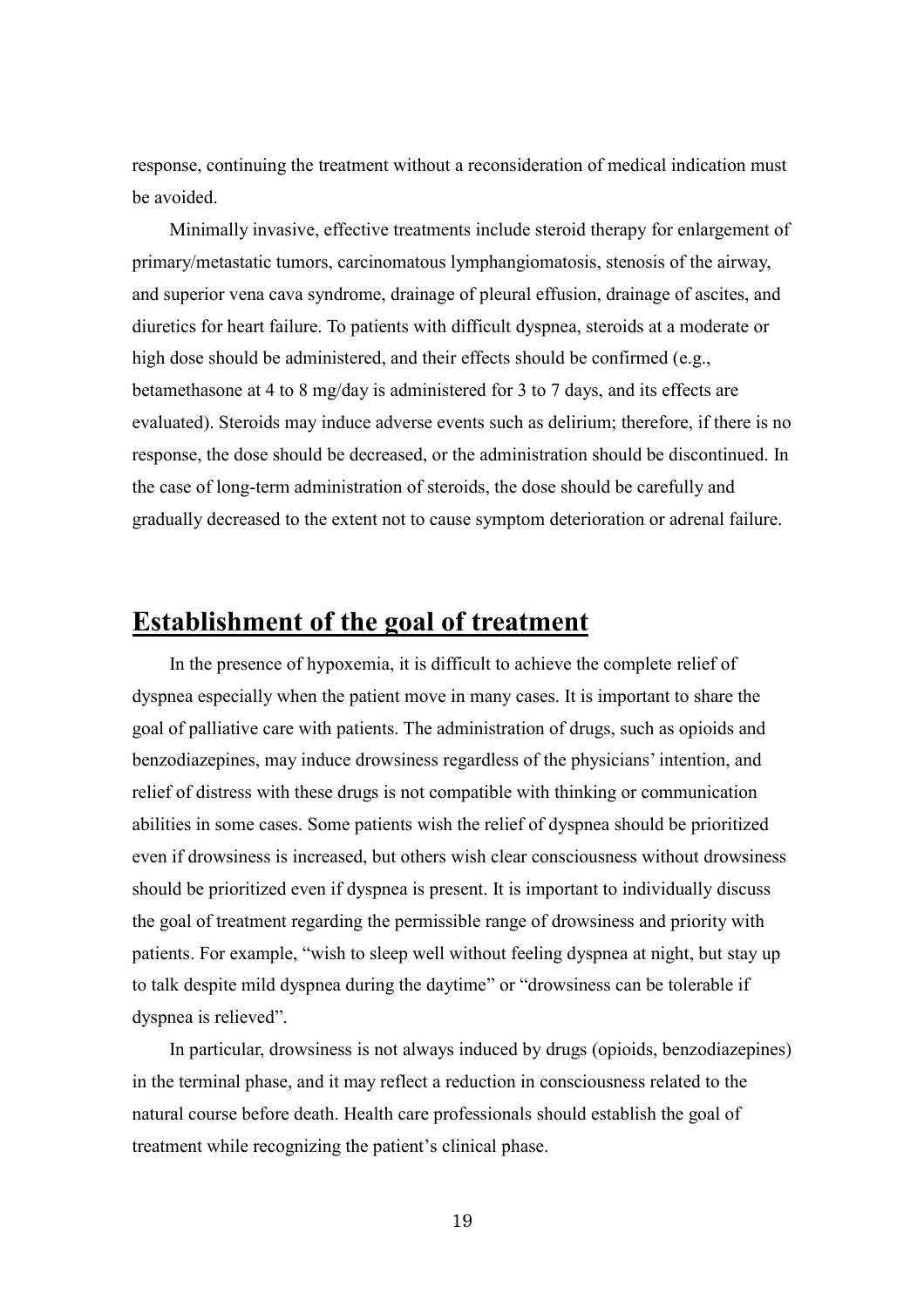response, continuing the treatment without a reconsideration of medical indication must be avoided.

Minimally invasive, effective treatments include steroid therapy for enlargement of primary/metastatic tumors, carcinomatous lymphangiomatosis, stenosis of the airway, and superior vena cava syndrome, drainage of pleural effusion, drainage of ascites, and diuretics for heart failure. To patients with difficult dyspnea, steroids at a moderate or high dose should be administered, and their effects should be confirmed (e.g., betamethasone at 4 to 8 mg/day is administered for 3 to 7 days, and its effects are evaluated). Steroids may induce adverse events such as delirium; therefore, if there is no response, the dose should be decreased, or the administration should be discontinued. In the case of long-term administration of steroids, the dose should be carefully and gradually decreased to the extent not to cause symptom deterioration or adrenal failure.

# **Establishment of the goal of treatment**

In the presence of hypoxemia, it is difficult to achieve the complete relief of dyspnea especially when the patient move in many cases. It is important to share the goal of palliative care with patients. The administration of drugs, such as opioids and benzodiazepines, may induce drowsiness regardless of the physicians' intention, and relief of distress with these drugs is not compatible with thinking or communication abilities in some cases. Some patients wish the relief of dyspnea should be prioritized even if drowsiness is increased, but others wish clear consciousness without drowsiness should be prioritized even if dyspnea is present. It is important to individually discuss the goal of treatment regarding the permissible range of drowsiness and priority with patients. For example, "wish to sleep well without feeling dyspnea at night, but stay up to talk despite mild dyspnea during the daytime" or "drowsiness can be tolerable if dyspnea is relieved".

In particular, drowsiness is not always induced by drugs (opioids, benzodiazepines) in the terminal phase, and it may reflect a reduction in consciousness related to the natural course before death. Health care professionals should establish the goal of treatment while recognizing the patient's clinical phase.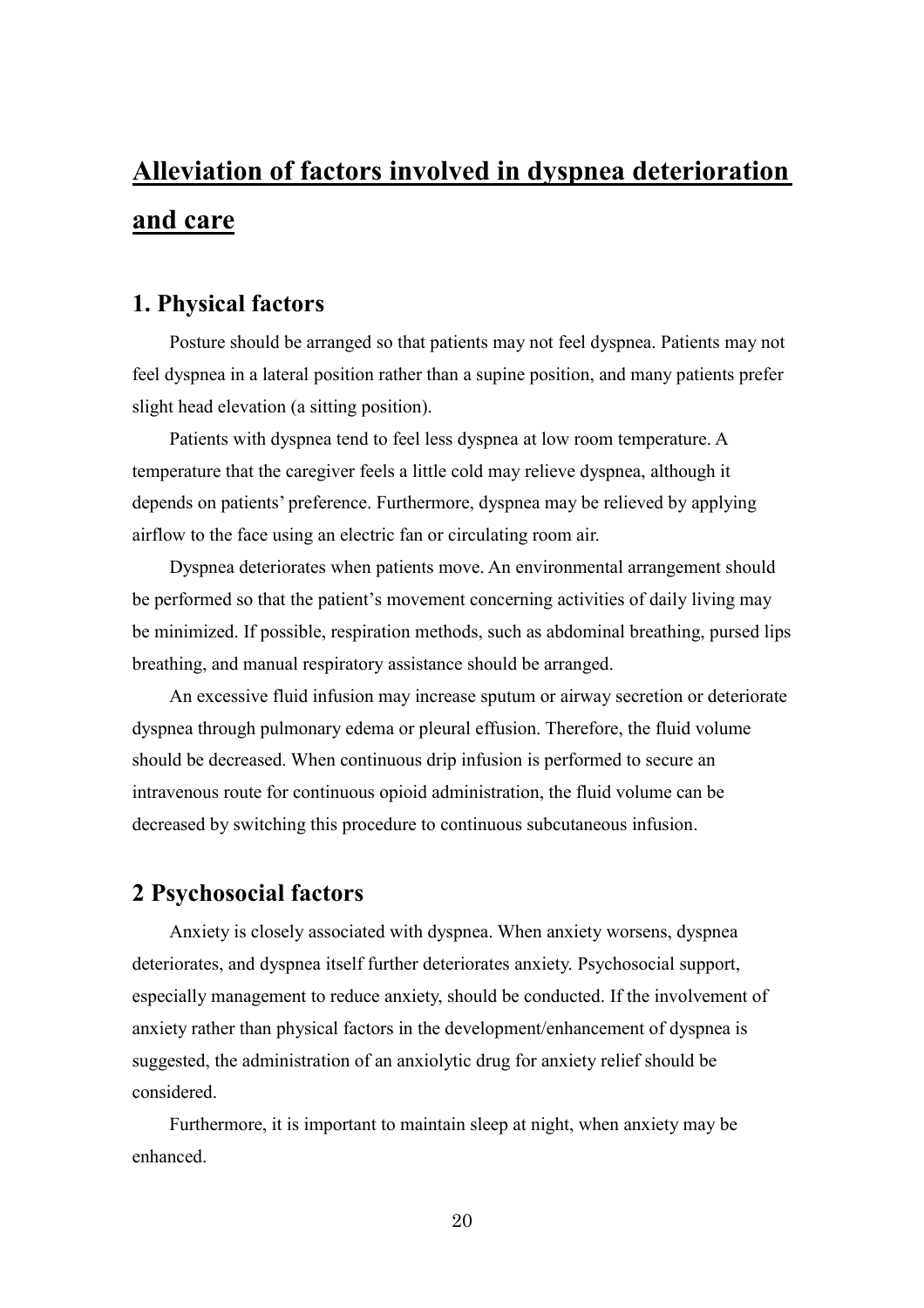# **Alleviation of factors involved in dyspnea deterioration and care**

# **1. Physical factors**

Posture should be arranged so that patients may not feel dyspnea. Patients may not feel dyspnea in a lateral position rather than a supine position, and many patients prefer slight head elevation (a sitting position).

Patients with dyspnea tend to feel less dyspnea at low room temperature. A temperature that the caregiver feels a little cold may relieve dyspnea, although it depends on patients' preference. Furthermore, dyspnea may be relieved by applying airflow to the face using an electric fan or circulating room air.

Dyspnea deteriorates when patients move. An environmental arrangement should be performed so that the patient's movement concerning activities of daily living may be minimized. If possible, respiration methods, such as abdominal breathing, pursed lips breathing, and manual respiratory assistance should be arranged.

An excessive fluid infusion may increase sputum or airway secretion or deteriorate dyspnea through pulmonary edema or pleural effusion. Therefore, the fluid volume should be decreased. When continuous drip infusion is performed to secure an intravenous route for continuous opioid administration, the fluid volume can be decreased by switching this procedure to continuous subcutaneous infusion.

# **2 Psychosocial factors**

Anxiety is closely associated with dyspnea. When anxiety worsens, dyspnea deteriorates, and dyspnea itself further deteriorates anxiety. Psychosocial support, especially management to reduce anxiety, should be conducted. If the involvement of anxiety rather than physical factors in the development/enhancement of dyspnea is suggested, the administration of an anxiolytic drug for anxiety relief should be considered.

Furthermore, it is important to maintain sleep at night, when anxiety may be enhanced.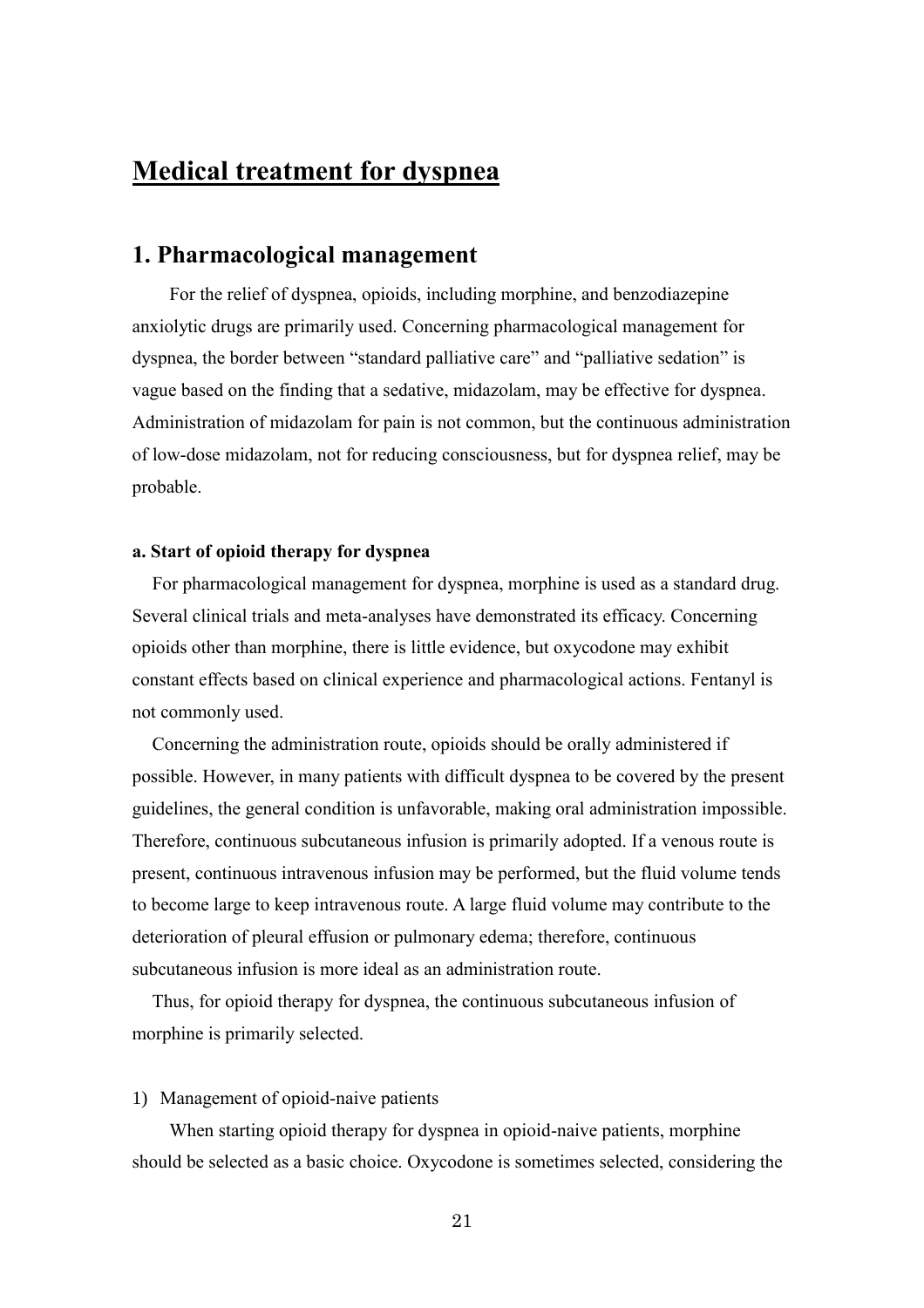# **Medical treatment for dyspnea**

## **1. Pharmacological management**

For the relief of dyspnea, opioids, including morphine, and benzodiazepine anxiolytic drugs are primarily used. Concerning pharmacological management for dyspnea, the border between "standard palliative care" and "palliative sedation" is vague based on the finding that a sedative, midazolam, may be effective for dyspnea. Administration of midazolam for pain is not common, but the continuous administration of low-dose midazolam, not for reducing consciousness, but for dyspnea relief, may be probable.

#### **a. Start of opioid therapy for dyspnea**

For pharmacological management for dyspnea, morphine is used as a standard drug. Several clinical trials and meta-analyses have demonstrated its efficacy. Concerning opioids other than morphine, there is little evidence, but oxycodone may exhibit constant effects based on clinical experience and pharmacological actions. Fentanyl is not commonly used.

Concerning the administration route, opioids should be orally administered if possible. However, in many patients with difficult dyspnea to be covered by the present guidelines, the general condition is unfavorable, making oral administration impossible. Therefore, continuous subcutaneous infusion is primarily adopted. If a venous route is present, continuous intravenous infusion may be performed, but the fluid volume tends to become large to keep intravenous route. A large fluid volume may contribute to the deterioration of pleural effusion or pulmonary edema; therefore, continuous subcutaneous infusion is more ideal as an administration route.

Thus, for opioid therapy for dyspnea, the continuous subcutaneous infusion of morphine is primarily selected.

#### 1) Management of opioid-naive patients

When starting opioid therapy for dyspnea in opioid-naive patients, morphine should be selected as a basic choice. Oxycodone is sometimes selected, considering the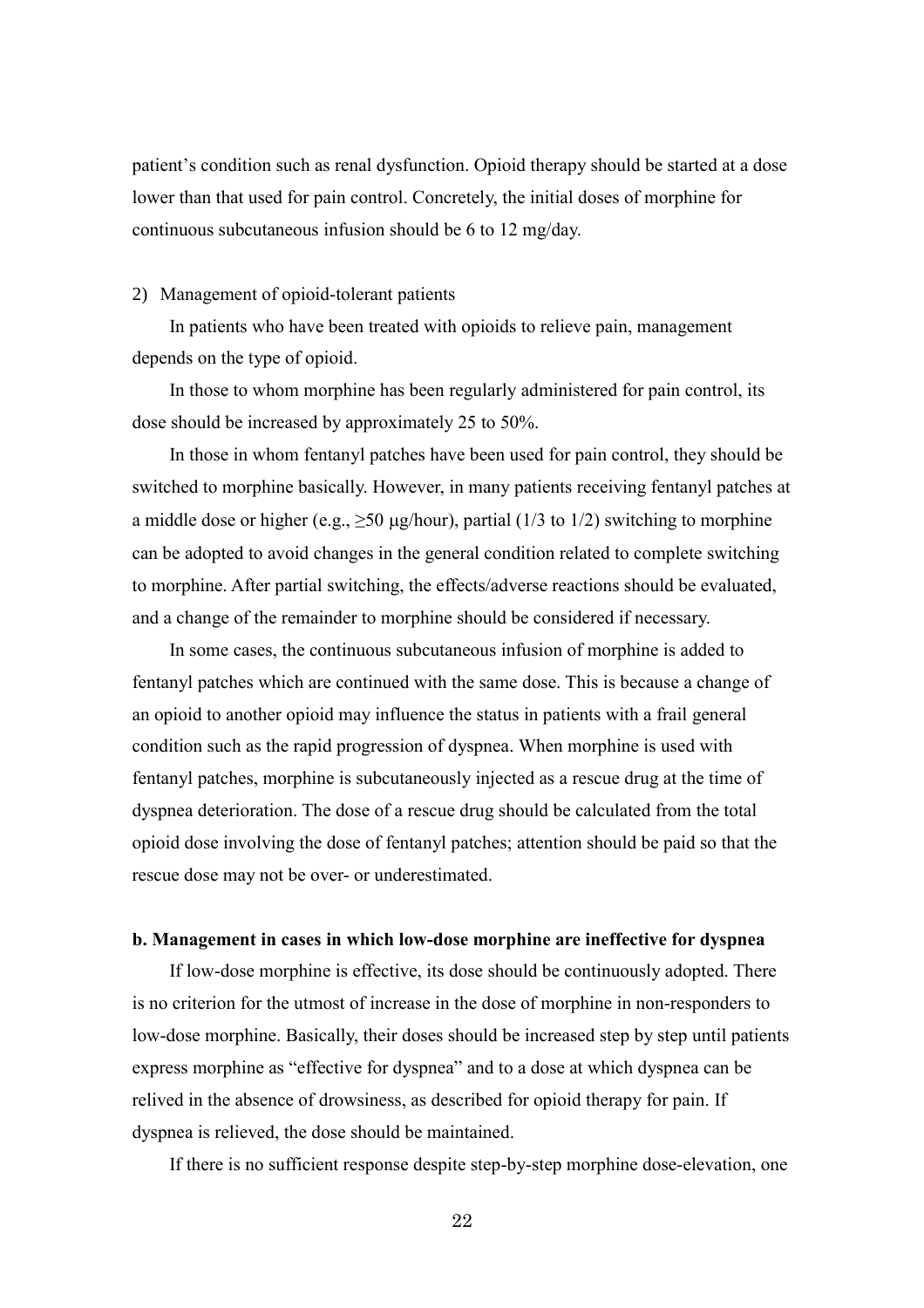patient's condition such as renal dysfunction. Opioid therapy should be started at a dose lower than that used for pain control. Concretely, the initial doses of morphine for continuous subcutaneous infusion should be 6 to 12 mg/day.

#### 2) Management of opioid-tolerant patients

In patients who have been treated with opioids to relieve pain, management depends on the type of opioid.

In those to whom morphine has been regularly administered for pain control, its dose should be increased by approximately 25 to 50%.

In those in whom fentanyl patches have been used for pain control, they should be switched to morphine basically. However, in many patients receiving fentanyl patches at a middle dose or higher (e.g.,  $\geq$ 50 µg/hour), partial (1/3 to 1/2) switching to morphine can be adopted to avoid changes in the general condition related to complete switching to morphine. After partial switching, the effects/adverse reactions should be evaluated, and a change of the remainder to morphine should be considered if necessary.

In some cases, the continuous subcutaneous infusion of morphine is added to fentanyl patches which are continued with the same dose. This is because a change of an opioid to another opioid may influence the status in patients with a frail general condition such as the rapid progression of dyspnea. When morphine is used with fentanyl patches, morphine is subcutaneously injected as a rescue drug at the time of dyspnea deterioration. The dose of a rescue drug should be calculated from the total opioid dose involving the dose of fentanyl patches; attention should be paid so that the rescue dose may not be over- or underestimated.

#### **b. Management in cases in which low-dose morphine are ineffective for dyspnea**

If low-dose morphine is effective, its dose should be continuously adopted. There is no criterion for the utmost of increase in the dose of morphine in non-responders to low-dose morphine. Basically, their doses should be increased step by step until patients express morphine as "effective for dyspnea" and to a dose at which dyspnea can be relived in the absence of drowsiness, as described for opioid therapy for pain. If dyspnea is relieved, the dose should be maintained.

If there is no sufficient response despite step-by-step morphine dose-elevation, one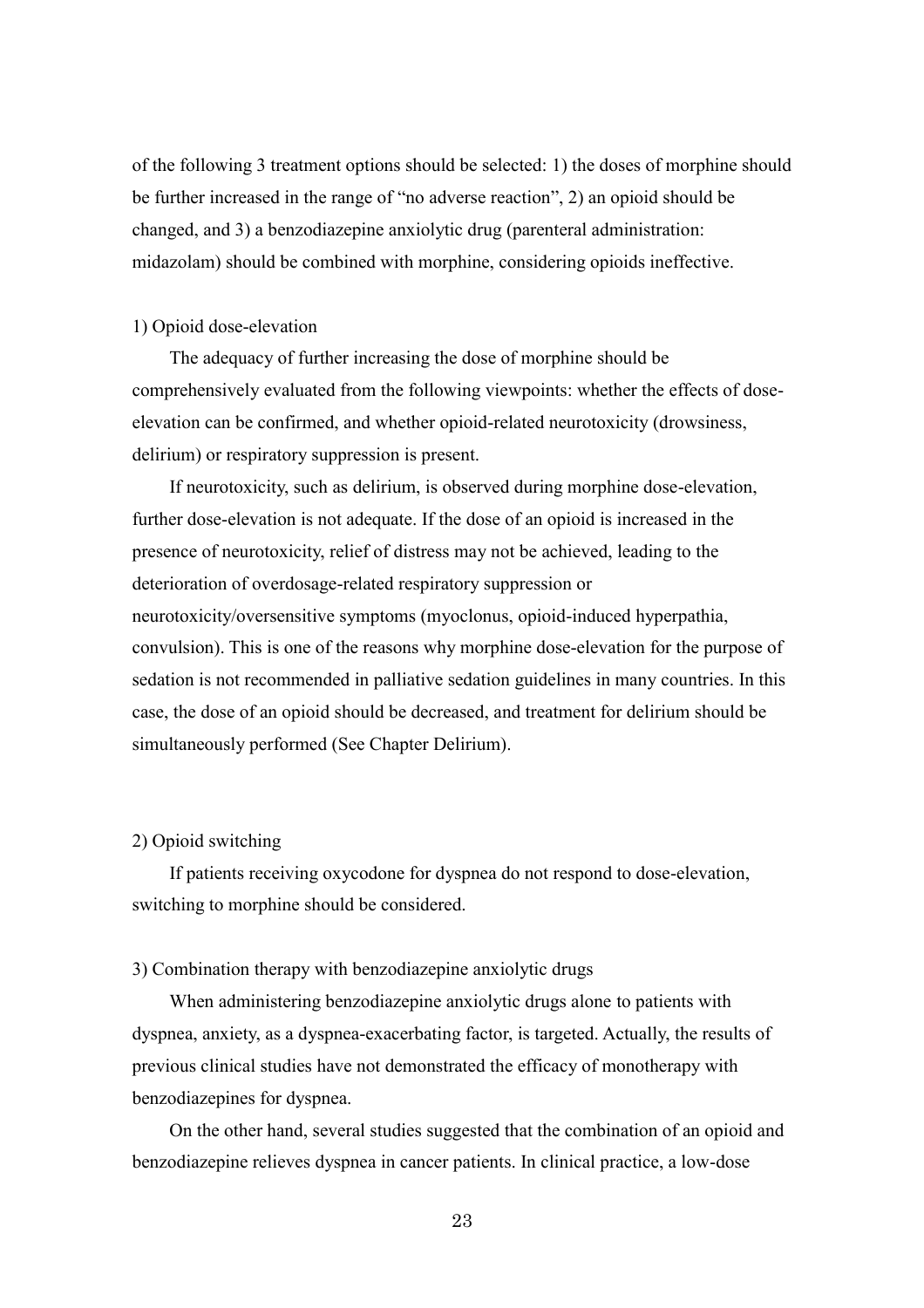of the following 3 treatment options should be selected: 1) the doses of morphine should be further increased in the range of "no adverse reaction", 2) an opioid should be changed, and 3) a benzodiazepine anxiolytic drug (parenteral administration: midazolam) should be combined with morphine, considering opioids ineffective.

#### 1) Opioid dose-elevation

The adequacy of further increasing the dose of morphine should be comprehensively evaluated from the following viewpoints: whether the effects of doseelevation can be confirmed, and whether opioid-related neurotoxicity (drowsiness, delirium) or respiratory suppression is present.

If neurotoxicity, such as delirium, is observed during morphine dose-elevation, further dose-elevation is not adequate. If the dose of an opioid is increased in the presence of neurotoxicity, relief of distress may not be achieved, leading to the deterioration of overdosage-related respiratory suppression or neurotoxicity/oversensitive symptoms (myoclonus, opioid-induced hyperpathia, convulsion). This is one of the reasons why morphine dose-elevation for the purpose of sedation is not recommended in palliative sedation guidelines in many countries. In this case, the dose of an opioid should be decreased, and treatment for delirium should be simultaneously performed (See Chapter Delirium).

#### 2) Opioid switching

If patients receiving oxycodone for dyspnea do not respond to dose-elevation, switching to morphine should be considered.

#### 3) Combination therapy with benzodiazepine anxiolytic drugs

When administering benzodiazepine anxiolytic drugs alone to patients with dyspnea, anxiety, as a dyspnea-exacerbating factor, is targeted. Actually, the results of previous clinical studies have not demonstrated the efficacy of monotherapy with benzodiazepines for dyspnea.

On the other hand, several studies suggested that the combination of an opioid and benzodiazepine relieves dyspnea in cancer patients. In clinical practice, a low-dose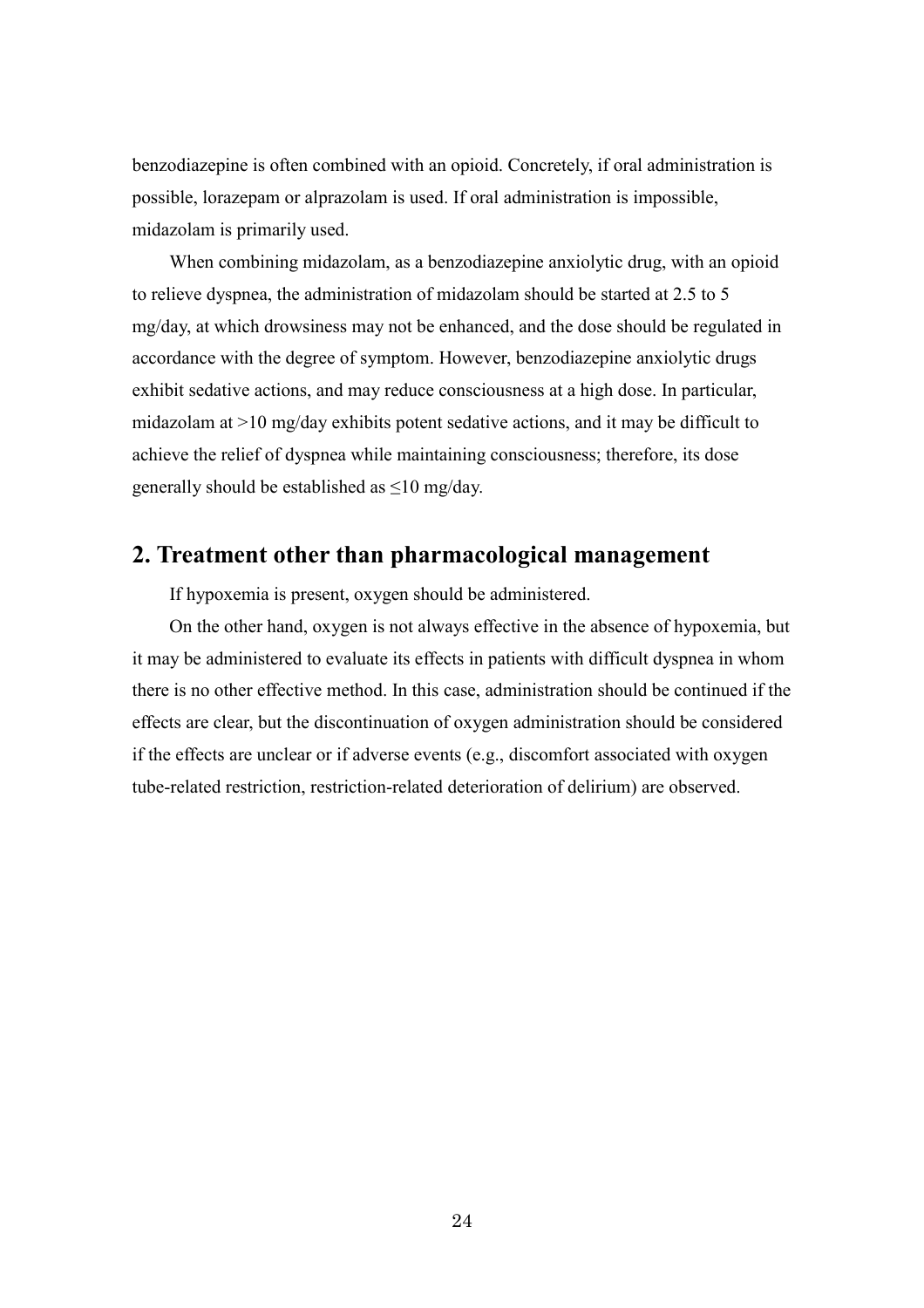benzodiazepine is often combined with an opioid. Concretely, if oral administration is possible, lorazepam or alprazolam is used. If oral administration is impossible, midazolam is primarily used.

When combining midazolam, as a benzodiazepine anxiolytic drug, with an opioid to relieve dyspnea, the administration of midazolam should be started at 2.5 to 5 mg/day, at which drowsiness may not be enhanced, and the dose should be regulated in accordance with the degree of symptom. However, benzodiazepine anxiolytic drugs exhibit sedative actions, and may reduce consciousness at a high dose. In particular, midazolam at >10 mg/day exhibits potent sedative actions, and it may be difficult to achieve the relief of dyspnea while maintaining consciousness; therefore, its dose generally should be established as  $\leq 10$  mg/day.

## **2. Treatment other than pharmacological management**

If hypoxemia is present, oxygen should be administered.

On the other hand, oxygen is not always effective in the absence of hypoxemia, but it may be administered to evaluate its effects in patients with difficult dyspnea in whom there is no other effective method. In this case, administration should be continued if the effects are clear, but the discontinuation of oxygen administration should be considered if the effects are unclear or if adverse events (e.g., discomfort associated with oxygen tube-related restriction, restriction-related deterioration of delirium) are observed.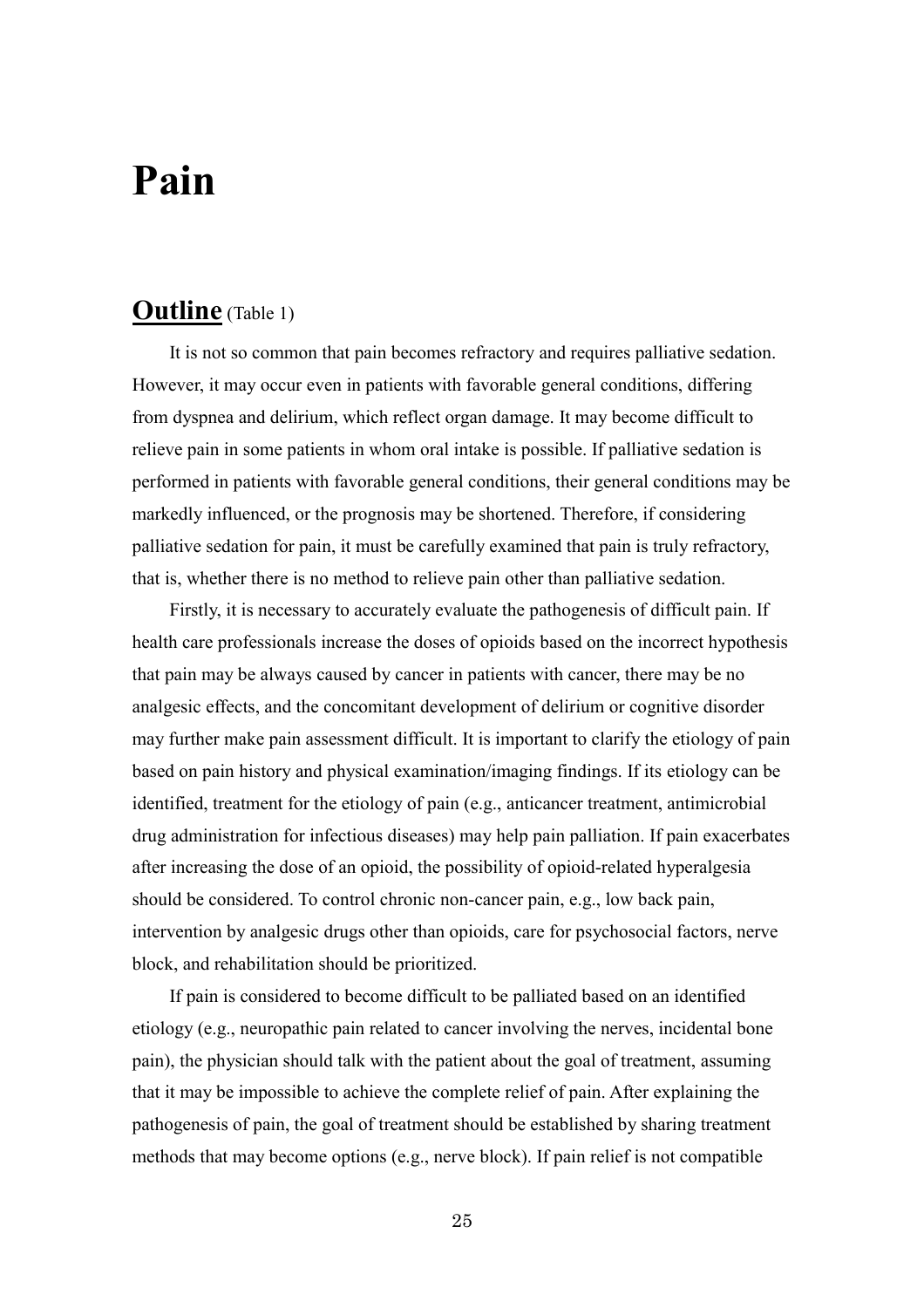# **Pain**

## **Outline** (Table 1)

It is not so common that pain becomes refractory and requires palliative sedation. However, it may occur even in patients with favorable general conditions, differing from dyspnea and delirium, which reflect organ damage. It may become difficult to relieve pain in some patients in whom oral intake is possible. If palliative sedation is performed in patients with favorable general conditions, their general conditions may be markedly influenced, or the prognosis may be shortened. Therefore, if considering palliative sedation for pain, it must be carefully examined that pain is truly refractory, that is, whether there is no method to relieve pain other than palliative sedation.

Firstly, it is necessary to accurately evaluate the pathogenesis of difficult pain. If health care professionals increase the doses of opioids based on the incorrect hypothesis that pain may be always caused by cancer in patients with cancer, there may be no analgesic effects, and the concomitant development of delirium or cognitive disorder may further make pain assessment difficult. It is important to clarify the etiology of pain based on pain history and physical examination/imaging findings. If its etiology can be identified, treatment for the etiology of pain (e.g., anticancer treatment, antimicrobial drug administration for infectious diseases) may help pain palliation. If pain exacerbates after increasing the dose of an opioid, the possibility of opioid-related hyperalgesia should be considered. To control chronic non-cancer pain, e.g., low back pain, intervention by analgesic drugs other than opioids, care for psychosocial factors, nerve block, and rehabilitation should be prioritized.

If pain is considered to become difficult to be palliated based on an identified etiology (e.g., neuropathic pain related to cancer involving the nerves, incidental bone pain), the physician should talk with the patient about the goal of treatment, assuming that it may be impossible to achieve the complete relief of pain. After explaining the pathogenesis of pain, the goal of treatment should be established by sharing treatment methods that may become options (e.g., nerve block). If pain relief is not compatible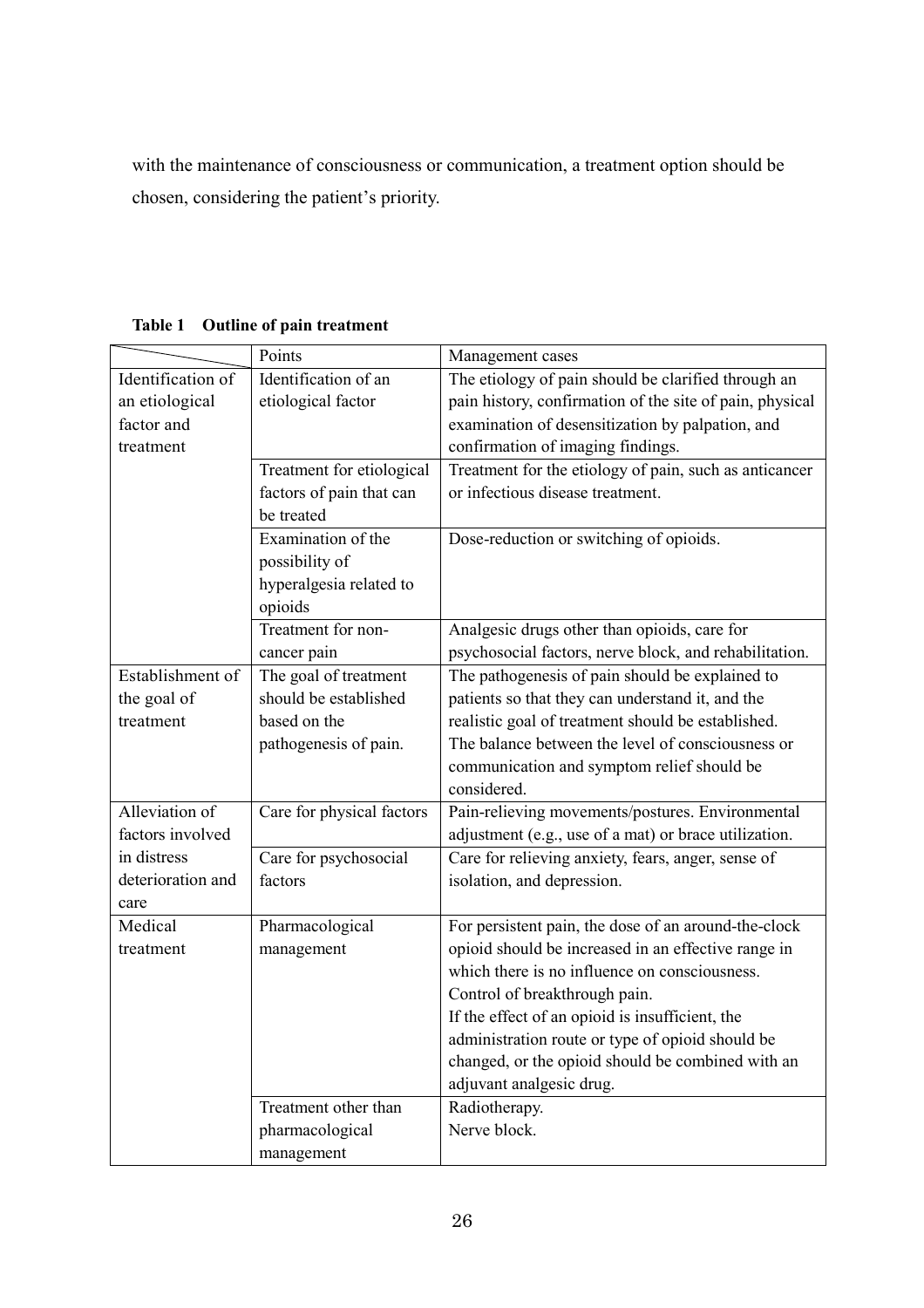with the maintenance of consciousness or communication, a treatment option should be chosen, considering the patient's priority.

|                   | Points                    | Management cases                                         |  |
|-------------------|---------------------------|----------------------------------------------------------|--|
| Identification of | Identification of an      | The etiology of pain should be clarified through an      |  |
| an etiological    | etiological factor        | pain history, confirmation of the site of pain, physical |  |
| factor and        |                           | examination of desensitization by palpation, and         |  |
| treatment         |                           | confirmation of imaging findings.                        |  |
|                   | Treatment for etiological | Treatment for the etiology of pain, such as anticancer   |  |
|                   | factors of pain that can  | or infectious disease treatment.                         |  |
|                   | be treated                |                                                          |  |
|                   | Examination of the        | Dose-reduction or switching of opioids.                  |  |
|                   | possibility of            |                                                          |  |
|                   | hyperalgesia related to   |                                                          |  |
|                   | opioids                   |                                                          |  |
|                   | Treatment for non-        | Analgesic drugs other than opioids, care for             |  |
|                   | cancer pain               | psychosocial factors, nerve block, and rehabilitation.   |  |
| Establishment of  | The goal of treatment     | The pathogenesis of pain should be explained to          |  |
| the goal of       | should be established     | patients so that they can understand it, and the         |  |
| treatment         | based on the              | realistic goal of treatment should be established.       |  |
|                   | pathogenesis of pain.     | The balance between the level of consciousness or        |  |
|                   |                           | communication and symptom relief should be               |  |
|                   |                           | considered.                                              |  |
| Alleviation of    | Care for physical factors | Pain-relieving movements/postures. Environmental         |  |
| factors involved  |                           | adjustment (e.g., use of a mat) or brace utilization.    |  |
| in distress       | Care for psychosocial     | Care for relieving anxiety, fears, anger, sense of       |  |
| deterioration and | factors                   | isolation, and depression.                               |  |
| care              |                           |                                                          |  |
| Medical           | Pharmacological           | For persistent pain, the dose of an around-the-clock     |  |
| treatment         | management                | opioid should be increased in an effective range in      |  |
|                   |                           | which there is no influence on consciousness.            |  |
|                   |                           | Control of breakthrough pain.                            |  |
|                   |                           | If the effect of an opioid is insufficient, the          |  |
|                   |                           | administration route or type of opioid should be         |  |
|                   |                           | changed, or the opioid should be combined with an        |  |
|                   |                           | adjuvant analgesic drug.                                 |  |
|                   | Treatment other than      | Radiotherapy.                                            |  |
|                   | pharmacological           | Nerve block.                                             |  |
|                   | management                |                                                          |  |

**Table 1 Outline of pain treatment**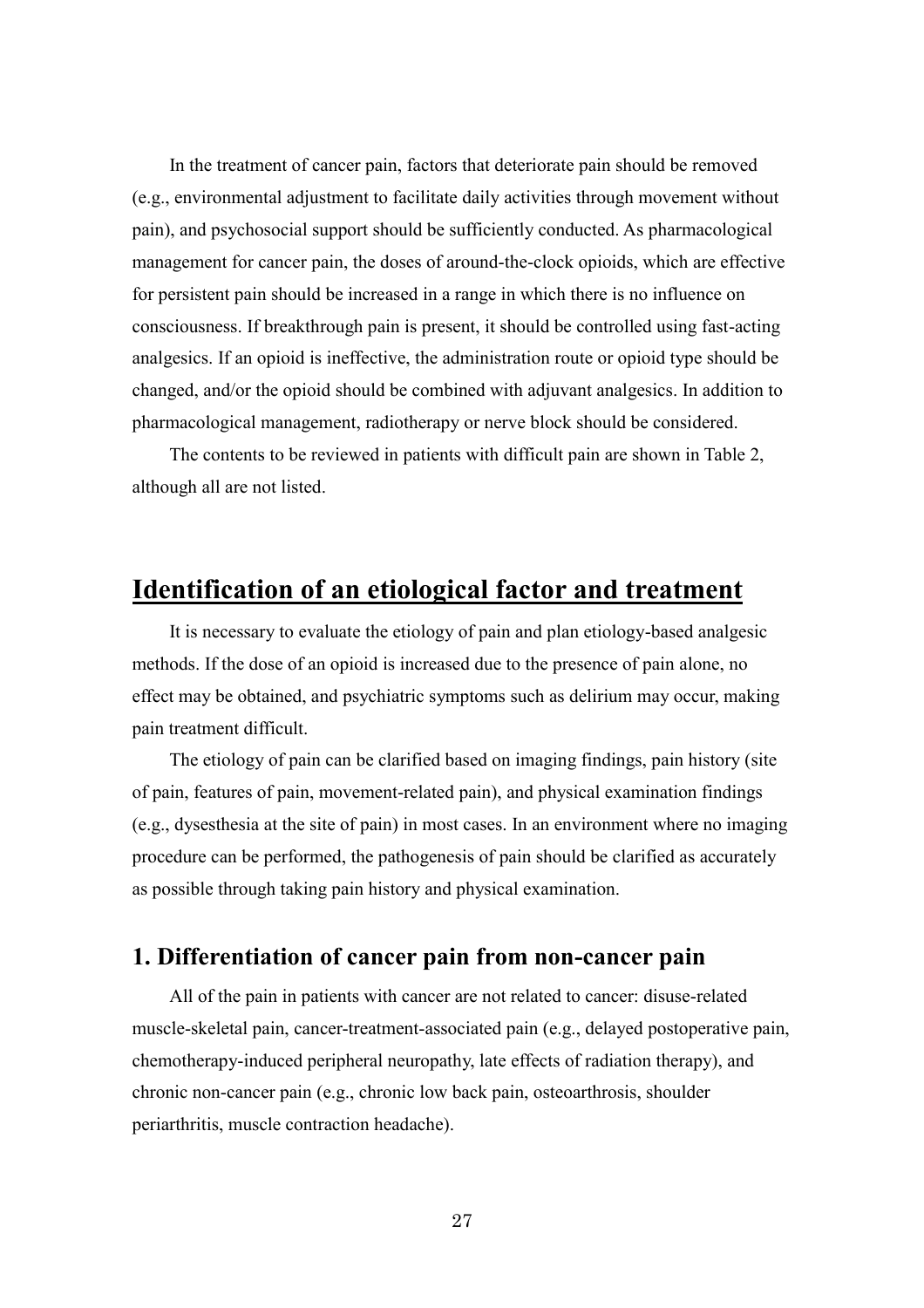In the treatment of cancer pain, factors that deteriorate pain should be removed (e.g., environmental adjustment to facilitate daily activities through movement without pain), and psychosocial support should be sufficiently conducted. As pharmacological management for cancer pain, the doses of around-the-clock opioids, which are effective for persistent pain should be increased in a range in which there is no influence on consciousness. If breakthrough pain is present, it should be controlled using fast-acting analgesics. If an opioid is ineffective, the administration route or opioid type should be changed, and/or the opioid should be combined with adjuvant analgesics. In addition to pharmacological management, radiotherapy or nerve block should be considered.

The contents to be reviewed in patients with difficult pain are shown in Table 2, although all are not listed.

# **Identification of an etiological factor and treatment**

It is necessary to evaluate the etiology of pain and plan etiology-based analgesic methods. If the dose of an opioid is increased due to the presence of pain alone, no effect may be obtained, and psychiatric symptoms such as delirium may occur, making pain treatment difficult.

The etiology of pain can be clarified based on imaging findings, pain history (site of pain, features of pain, movement-related pain), and physical examination findings (e.g., dysesthesia at the site of pain) in most cases. In an environment where no imaging procedure can be performed, the pathogenesis of pain should be clarified as accurately as possible through taking pain history and physical examination.

### **1. Differentiation of cancer pain from non-cancer pain**

All of the pain in patients with cancer are not related to cancer: disuse-related muscle-skeletal pain, cancer-treatment-associated pain (e.g., delayed postoperative pain, chemotherapy-induced peripheral neuropathy, late effects of radiation therapy), and chronic non-cancer pain (e.g., chronic low back pain, osteoarthrosis, shoulder periarthritis, muscle contraction headache).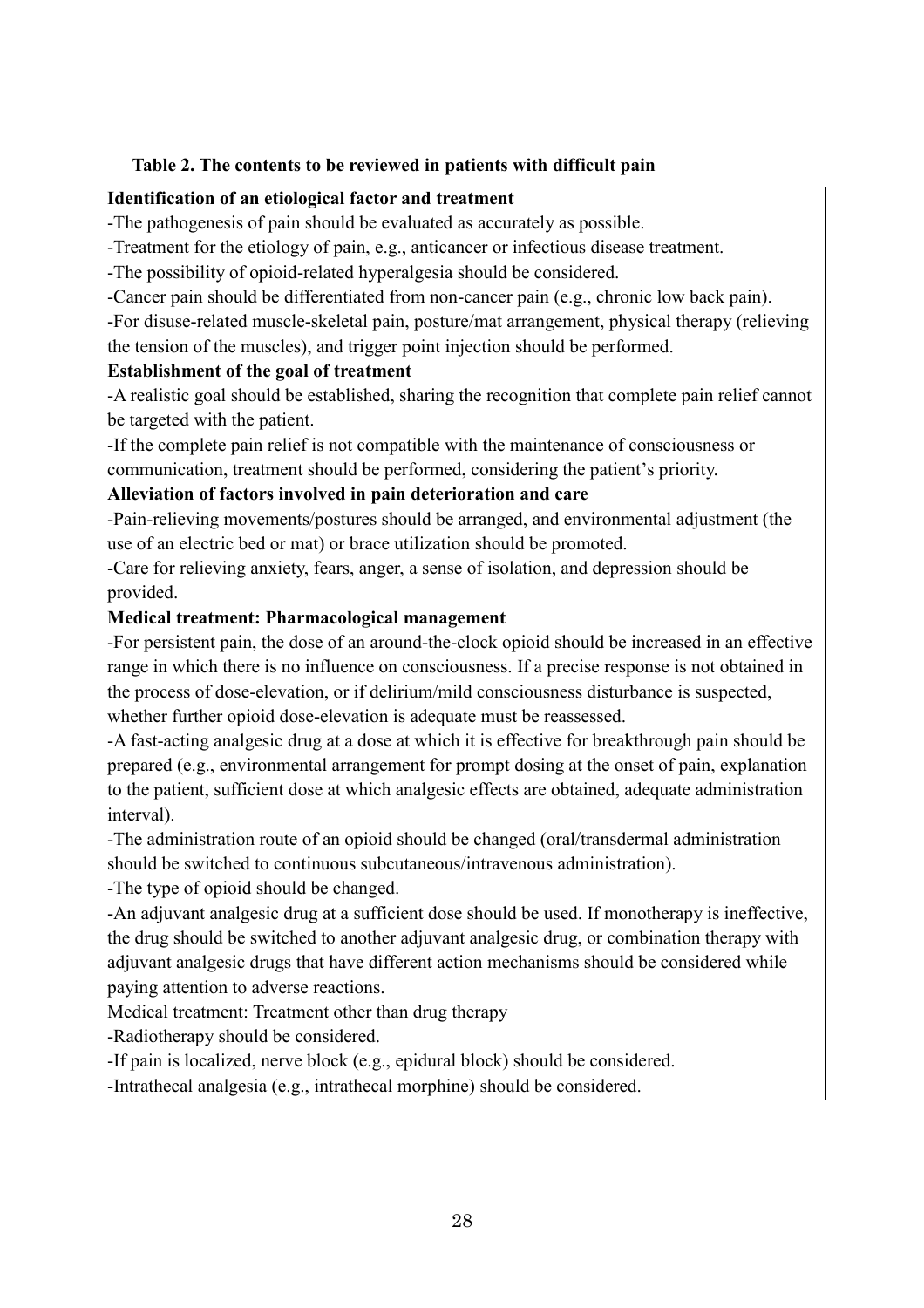### **Table 2. The contents to be reviewed in patients with difficult pain**

#### **Identification of an etiological factor and treatment**

-The pathogenesis of pain should be evaluated as accurately as possible.

-Treatment for the etiology of pain, e.g., anticancer or infectious disease treatment.

-The possibility of opioid-related hyperalgesia should be considered.

-Cancer pain should be differentiated from non-cancer pain (e.g., chronic low back pain).

-For disuse-related muscle-skeletal pain, posture/mat arrangement, physical therapy (relieving the tension of the muscles), and trigger point injection should be performed.

#### **Establishment of the goal of treatment**

-A realistic goal should be established, sharing the recognition that complete pain relief cannot be targeted with the patient.

-If the complete pain relief is not compatible with the maintenance of consciousness or communication, treatment should be performed, considering the patient's priority.

### **Alleviation of factors involved in pain deterioration and care**

-Pain-relieving movements/postures should be arranged, and environmental adjustment (the use of an electric bed or mat) or brace utilization should be promoted.

-Care for relieving anxiety, fears, anger, a sense of isolation, and depression should be provided.

### **Medical treatment: Pharmacological management**

-For persistent pain, the dose of an around-the-clock opioid should be increased in an effective range in which there is no influence on consciousness. If a precise response is not obtained in the process of dose-elevation, or if delirium/mild consciousness disturbance is suspected, whether further opioid dose-elevation is adequate must be reassessed.

-A fast-acting analgesic drug at a dose at which it is effective for breakthrough pain should be prepared (e.g., environmental arrangement for prompt dosing at the onset of pain, explanation to the patient, sufficient dose at which analgesic effects are obtained, adequate administration interval).

-The administration route of an opioid should be changed (oral/transdermal administration should be switched to continuous subcutaneous/intravenous administration).

-The type of opioid should be changed.

-An adjuvant analgesic drug at a sufficient dose should be used. If monotherapy is ineffective, the drug should be switched to another adjuvant analgesic drug, or combination therapy with adjuvant analgesic drugs that have different action mechanisms should be considered while paying attention to adverse reactions.

Medical treatment: Treatment other than drug therapy

-Radiotherapy should be considered.

-If pain is localized, nerve block (e.g., epidural block) should be considered.

-Intrathecal analgesia (e.g., intrathecal morphine) should be considered.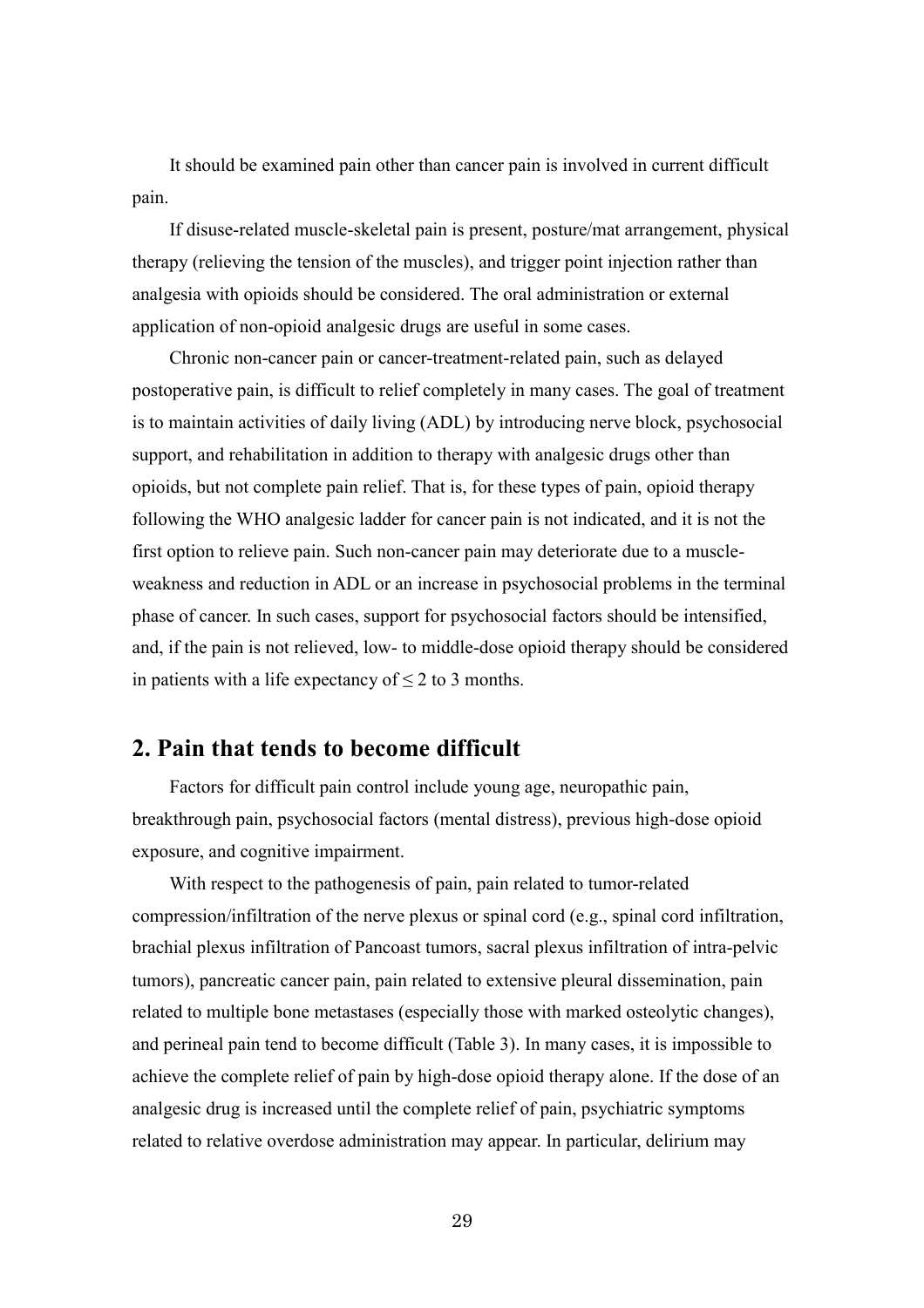It should be examined pain other than cancer pain is involved in current difficult pain.

If disuse-related muscle-skeletal pain is present, posture/mat arrangement, physical therapy (relieving the tension of the muscles), and trigger point injection rather than analgesia with opioids should be considered. The oral administration or external application of non-opioid analgesic drugs are useful in some cases.

Chronic non-cancer pain or cancer-treatment-related pain, such as delayed postoperative pain, is difficult to relief completely in many cases. The goal of treatment is to maintain activities of daily living (ADL) by introducing nerve block, psychosocial support, and rehabilitation in addition to therapy with analgesic drugs other than opioids, but not complete pain relief. That is, for these types of pain, opioid therapy following the WHO analgesic ladder for cancer pain is not indicated, and it is not the first option to relieve pain. Such non-cancer pain may deteriorate due to a muscleweakness and reduction in ADL or an increase in psychosocial problems in the terminal phase of cancer. In such cases, support for psychosocial factors should be intensified, and, if the pain is not relieved, low- to middle-dose opioid therapy should be considered in patients with a life expectancy of  $\leq 2$  to 3 months.

### **2. Pain that tends to become difficult**

Factors for difficult pain control include young age, neuropathic pain, breakthrough pain, psychosocial factors (mental distress), previous high-dose opioid exposure, and cognitive impairment.

With respect to the pathogenesis of pain, pain related to tumor-related compression/infiltration of the nerve plexus or spinal cord (e.g., spinal cord infiltration, brachial plexus infiltration of Pancoast tumors, sacral plexus infiltration of intra-pelvic tumors), pancreatic cancer pain, pain related to extensive pleural dissemination, pain related to multiple bone metastases (especially those with marked osteolytic changes), and perineal pain tend to become difficult (Table 3). In many cases, it is impossible to achieve the complete relief of pain by high-dose opioid therapy alone. If the dose of an analgesic drug is increased until the complete relief of pain, psychiatric symptoms related to relative overdose administration may appear. In particular, delirium may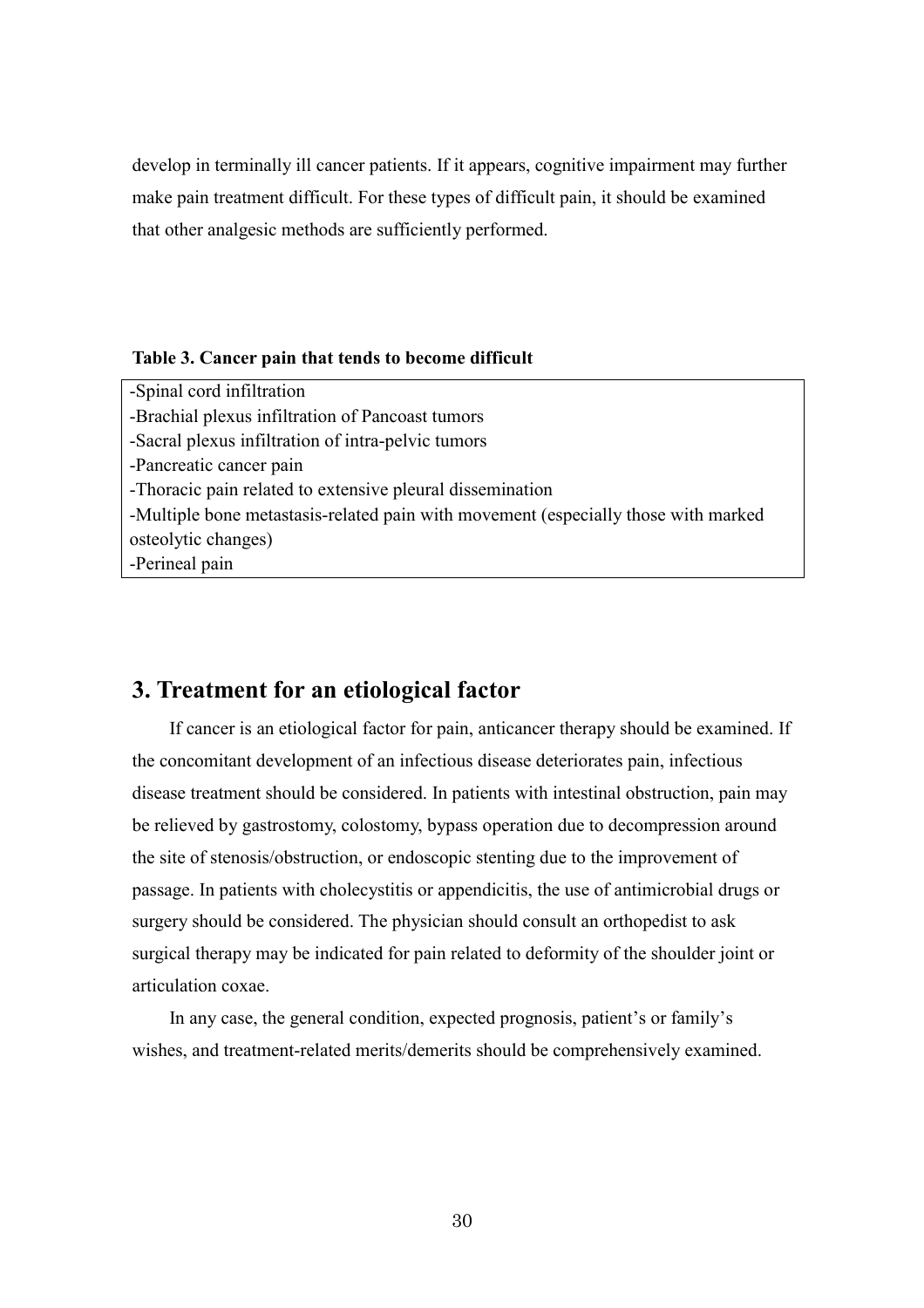develop in terminally ill cancer patients. If it appears, cognitive impairment may further make pain treatment difficult. For these types of difficult pain, it should be examined that other analgesic methods are sufficiently performed.

#### **Table 3. Cancer pain that tends to become difficult**

-Spinal cord infiltration -Brachial plexus infiltration of Pancoast tumors -Sacral plexus infiltration of intra-pelvic tumors -Pancreatic cancer pain -Thoracic pain related to extensive pleural dissemination -Multiple bone metastasis-related pain with movement (especially those with marked osteolytic changes) -Perineal pain

# **3. Treatment for an etiological factor**

If cancer is an etiological factor for pain, anticancer therapy should be examined. If the concomitant development of an infectious disease deteriorates pain, infectious disease treatment should be considered. In patients with intestinal obstruction, pain may be relieved by gastrostomy, colostomy, bypass operation due to decompression around the site of stenosis/obstruction, or endoscopic stenting due to the improvement of passage. In patients with cholecystitis or appendicitis, the use of antimicrobial drugs or surgery should be considered. The physician should consult an orthopedist to ask surgical therapy may be indicated for pain related to deformity of the shoulder joint or articulation coxae.

In any case, the general condition, expected prognosis, patient's or family's wishes, and treatment-related merits/demerits should be comprehensively examined.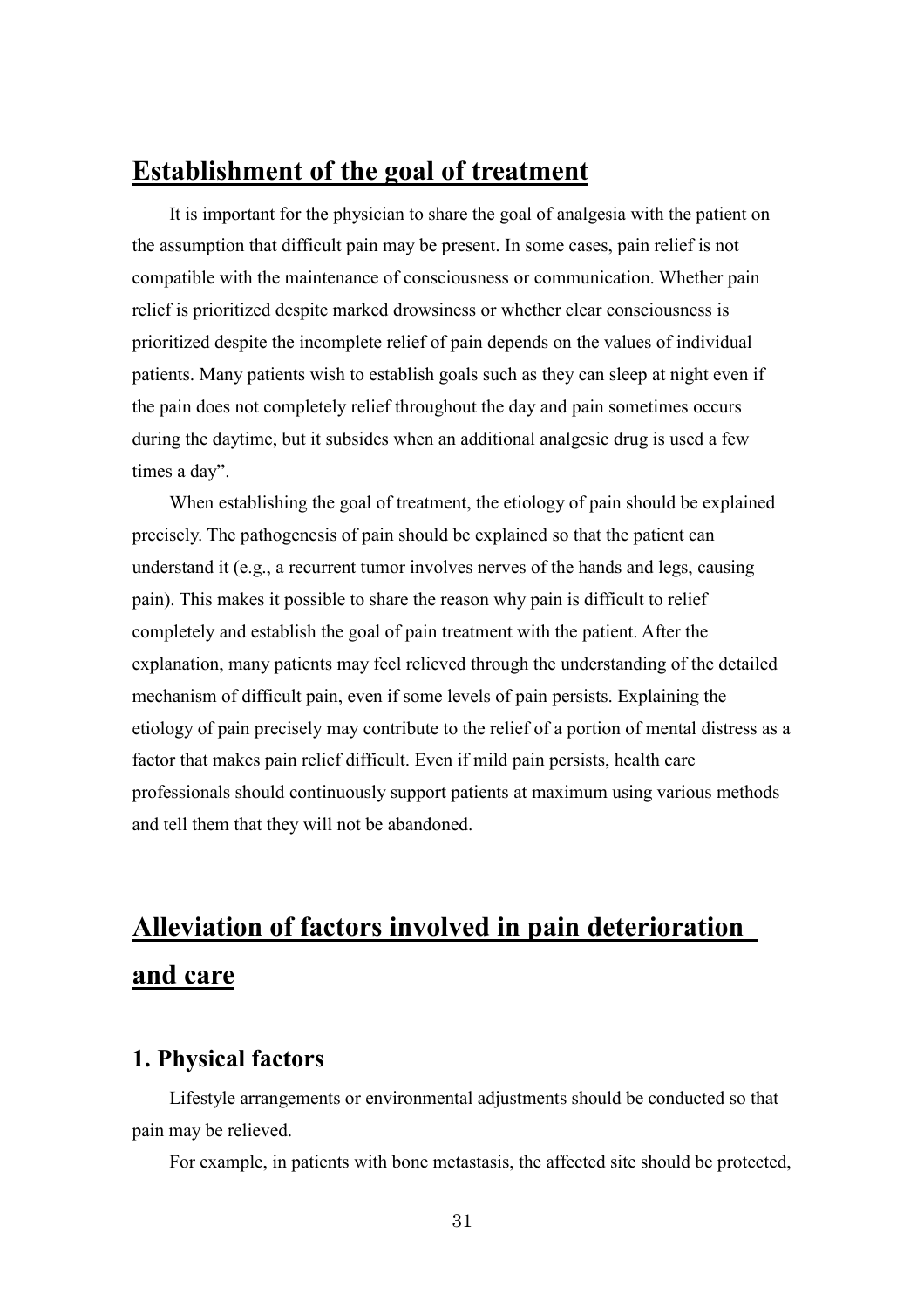# **Establishment of the goal of treatment**

It is important for the physician to share the goal of analgesia with the patient on the assumption that difficult pain may be present. In some cases, pain relief is not compatible with the maintenance of consciousness or communication. Whether pain relief is prioritized despite marked drowsiness or whether clear consciousness is prioritized despite the incomplete relief of pain depends on the values of individual patients. Many patients wish to establish goals such as they can sleep at night even if the pain does not completely relief throughout the day and pain sometimes occurs during the daytime, but it subsides when an additional analgesic drug is used a few times a day".

When establishing the goal of treatment, the etiology of pain should be explained precisely. The pathogenesis of pain should be explained so that the patient can understand it (e.g., a recurrent tumor involves nerves of the hands and legs, causing pain). This makes it possible to share the reason why pain is difficult to relief completely and establish the goal of pain treatment with the patient. After the explanation, many patients may feel relieved through the understanding of the detailed mechanism of difficult pain, even if some levels of pain persists. Explaining the etiology of pain precisely may contribute to the relief of a portion of mental distress as a factor that makes pain relief difficult. Even if mild pain persists, health care professionals should continuously support patients at maximum using various methods and tell them that they will not be abandoned.

# **Alleviation of factors involved in pain deterioration and care**

# **1. Physical factors**

Lifestyle arrangements or environmental adjustments should be conducted so that pain may be relieved.

For example, in patients with bone metastasis, the affected site should be protected,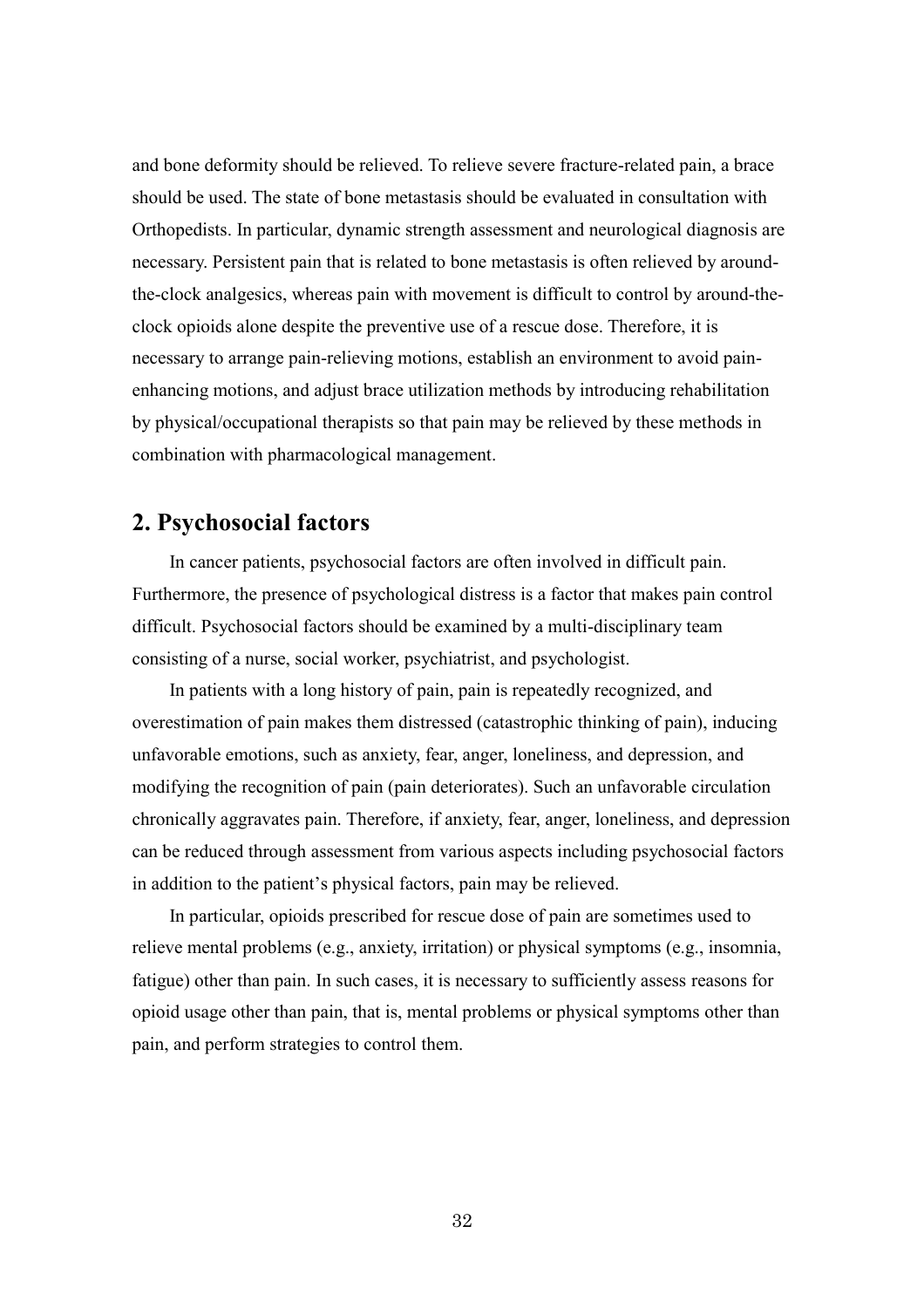and bone deformity should be relieved. To relieve severe fracture-related pain, a brace should be used. The state of bone metastasis should be evaluated in consultation with Orthopedists. In particular, dynamic strength assessment and neurological diagnosis are necessary. Persistent pain that is related to bone metastasis is often relieved by aroundthe-clock analgesics, whereas pain with movement is difficult to control by around-theclock opioids alone despite the preventive use of a rescue dose. Therefore, it is necessary to arrange pain-relieving motions, establish an environment to avoid painenhancing motions, and adjust brace utilization methods by introducing rehabilitation by physical/occupational therapists so that pain may be relieved by these methods in combination with pharmacological management.

# **2. Psychosocial factors**

In cancer patients, psychosocial factors are often involved in difficult pain. Furthermore, the presence of psychological distress is a factor that makes pain control difficult. Psychosocial factors should be examined by a multi-disciplinary team consisting of a nurse, social worker, psychiatrist, and psychologist.

In patients with a long history of pain, pain is repeatedly recognized, and overestimation of pain makes them distressed (catastrophic thinking of pain), inducing unfavorable emotions, such as anxiety, fear, anger, loneliness, and depression, and modifying the recognition of pain (pain deteriorates). Such an unfavorable circulation chronically aggravates pain. Therefore, if anxiety, fear, anger, loneliness, and depression can be reduced through assessment from various aspects including psychosocial factors in addition to the patient's physical factors, pain may be relieved.

In particular, opioids prescribed for rescue dose of pain are sometimes used to relieve mental problems (e.g., anxiety, irritation) or physical symptoms (e.g., insomnia, fatigue) other than pain. In such cases, it is necessary to sufficiently assess reasons for opioid usage other than pain, that is, mental problems or physical symptoms other than pain, and perform strategies to control them.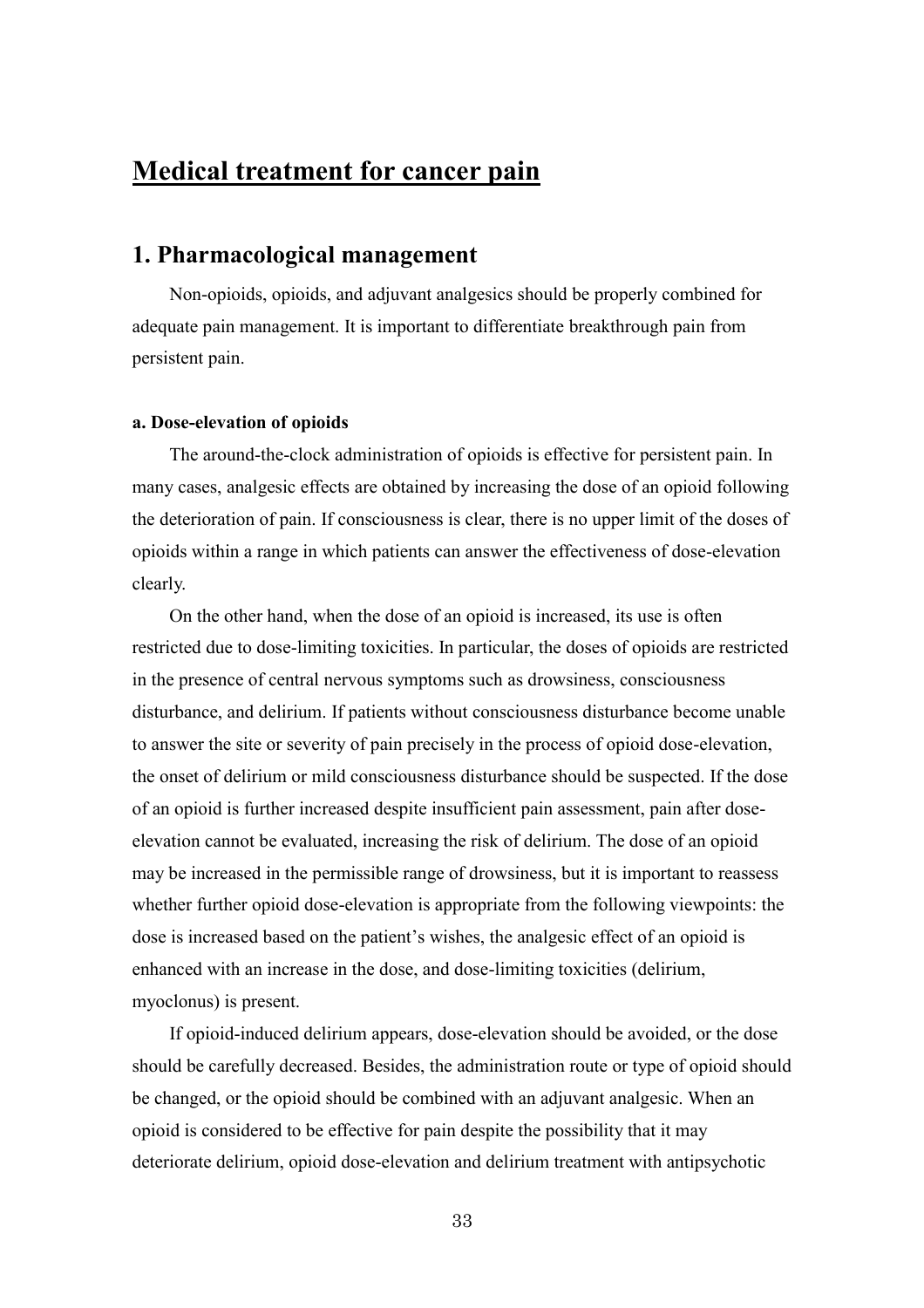# **Medical treatment for cancer pain**

## **1. Pharmacological management**

Non-opioids, opioids, and adjuvant analgesics should be properly combined for adequate pain management. It is important to differentiate breakthrough pain from persistent pain.

#### **a. Dose-elevation of opioids**

The around-the-clock administration of opioids is effective for persistent pain. In many cases, analgesic effects are obtained by increasing the dose of an opioid following the deterioration of pain. If consciousness is clear, there is no upper limit of the doses of opioids within a range in which patients can answer the effectiveness of dose-elevation clearly.

On the other hand, when the dose of an opioid is increased, its use is often restricted due to dose-limiting toxicities. In particular, the doses of opioids are restricted in the presence of central nervous symptoms such as drowsiness, consciousness disturbance, and delirium. If patients without consciousness disturbance become unable to answer the site or severity of pain precisely in the process of opioid dose-elevation, the onset of delirium or mild consciousness disturbance should be suspected. If the dose of an opioid is further increased despite insufficient pain assessment, pain after doseelevation cannot be evaluated, increasing the risk of delirium. The dose of an opioid may be increased in the permissible range of drowsiness, but it is important to reassess whether further opioid dose-elevation is appropriate from the following viewpoints: the dose is increased based on the patient's wishes, the analgesic effect of an opioid is enhanced with an increase in the dose, and dose-limiting toxicities (delirium, myoclonus) is present.

If opioid-induced delirium appears, dose-elevation should be avoided, or the dose should be carefully decreased. Besides, the administration route or type of opioid should be changed, or the opioid should be combined with an adjuvant analgesic. When an opioid is considered to be effective for pain despite the possibility that it may deteriorate delirium, opioid dose-elevation and delirium treatment with antipsychotic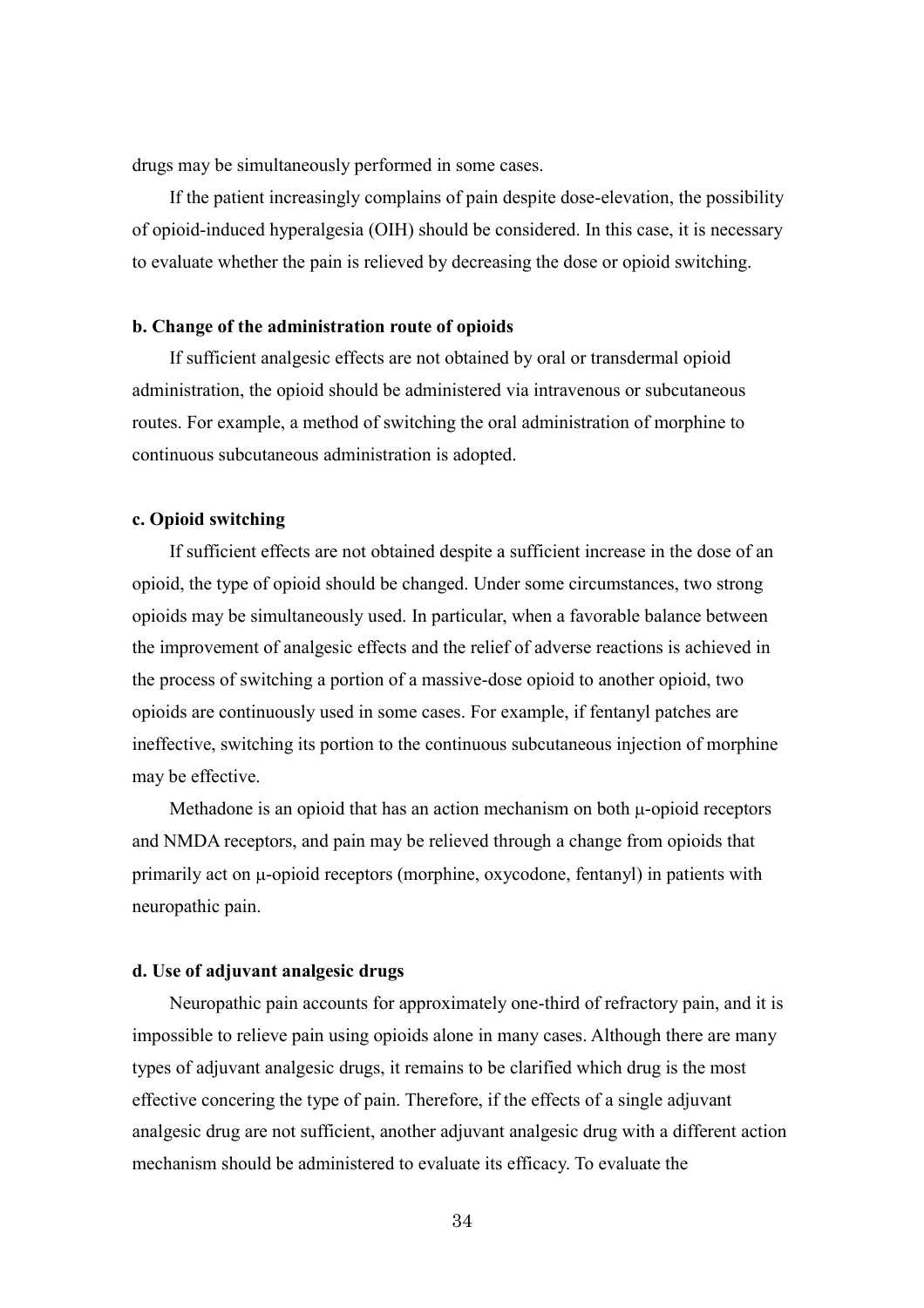drugs may be simultaneously performed in some cases.

If the patient increasingly complains of pain despite dose-elevation, the possibility of opioid-induced hyperalgesia (OIH) should be considered. In this case, it is necessary to evaluate whether the pain is relieved by decreasing the dose or opioid switching.

#### **b. Change of the administration route of opioids**

If sufficient analgesic effects are not obtained by oral or transdermal opioid administration, the opioid should be administered via intravenous or subcutaneous routes. For example, a method of switching the oral administration of morphine to continuous subcutaneous administration is adopted.

#### **c. Opioid switching**

If sufficient effects are not obtained despite a sufficient increase in the dose of an opioid, the type of opioid should be changed. Under some circumstances, two strong opioids may be simultaneously used. In particular, when a favorable balance between the improvement of analgesic effects and the relief of adverse reactions is achieved in the process of switching a portion of a massive-dose opioid to another opioid, two opioids are continuously used in some cases. For example, if fentanyl patches are ineffective, switching its portion to the continuous subcutaneous injection of morphine may be effective.

Methadone is an opioid that has an action mechanism on both  $\mu$ -opioid receptors and NMDA receptors, and pain may be relieved through a change from opioids that primarily act on  $\mu$ -opioid receptors (morphine, oxycodone, fentanyl) in patients with neuropathic pain.

#### **d. Use of adjuvant analgesic drugs**

Neuropathic pain accounts for approximately one-third of refractory pain, and it is impossible to relieve pain using opioids alone in many cases. Although there are many types of adjuvant analgesic drugs, it remains to be clarified which drug is the most effective concering the type of pain. Therefore, if the effects of a single adjuvant analgesic drug are not sufficient, another adjuvant analgesic drug with a different action mechanism should be administered to evaluate its efficacy. To evaluate the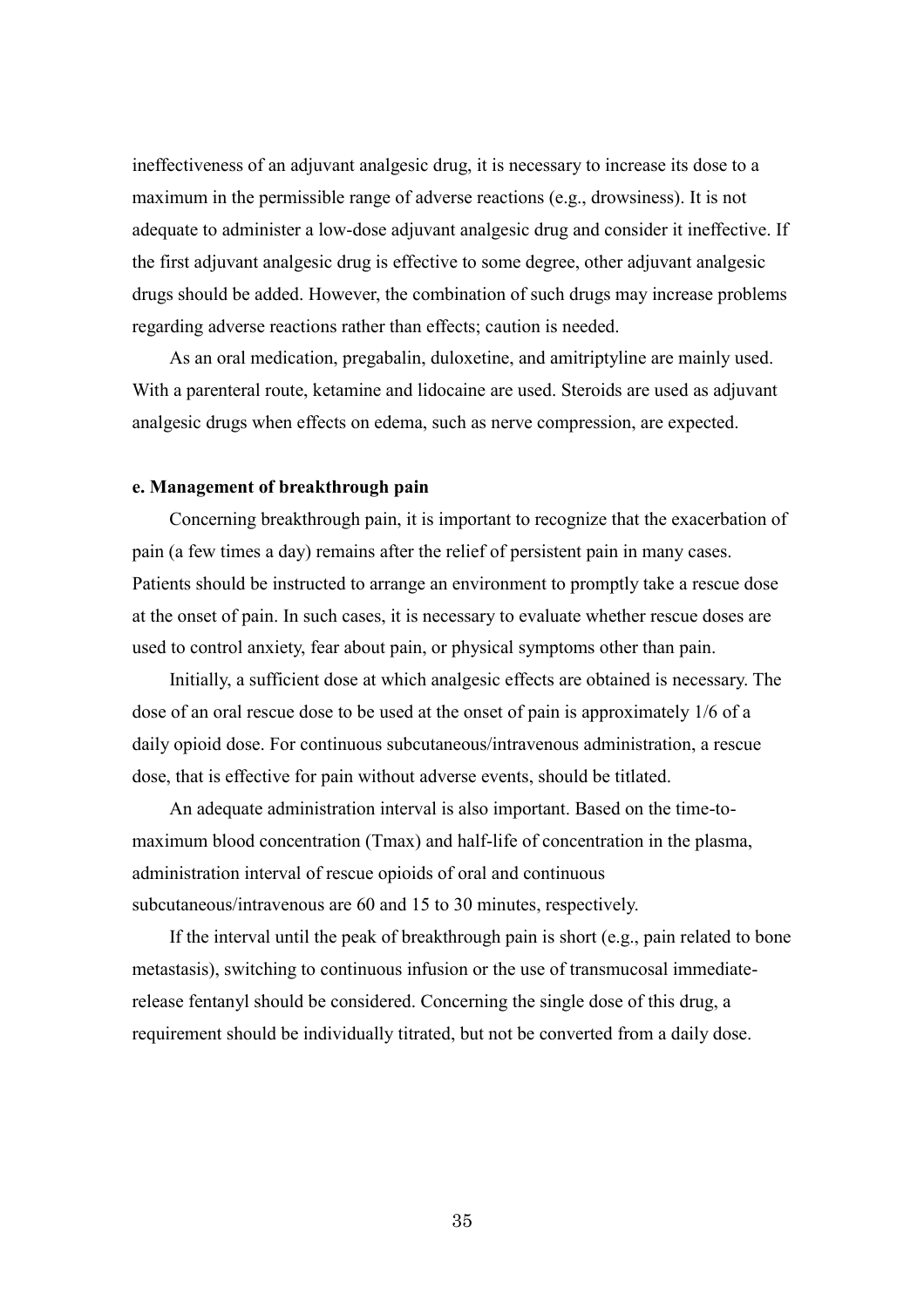ineffectiveness of an adjuvant analgesic drug, it is necessary to increase its dose to a maximum in the permissible range of adverse reactions (e.g., drowsiness). It is not adequate to administer a low-dose adjuvant analgesic drug and consider it ineffective. If the first adjuvant analgesic drug is effective to some degree, other adjuvant analgesic drugs should be added. However, the combination of such drugs may increase problems regarding adverse reactions rather than effects; caution is needed.

As an oral medication, pregabalin, duloxetine, and amitriptyline are mainly used. With a parenteral route, ketamine and lidocaine are used. Steroids are used as adjuvant analgesic drugs when effects on edema, such as nerve compression, are expected.

#### **e. Management of breakthrough pain**

Concerning breakthrough pain, it is important to recognize that the exacerbation of pain (a few times a day) remains after the relief of persistent pain in many cases. Patients should be instructed to arrange an environment to promptly take a rescue dose at the onset of pain. In such cases, it is necessary to evaluate whether rescue doses are used to control anxiety, fear about pain, or physical symptoms other than pain.

Initially, a sufficient dose at which analgesic effects are obtained is necessary. The dose of an oral rescue dose to be used at the onset of pain is approximately 1/6 of a daily opioid dose. For continuous subcutaneous/intravenous administration, a rescue dose, that is effective for pain without adverse events, should be titlated.

An adequate administration interval is also important. Based on the time-tomaximum blood concentration (Tmax) and half-life of concentration in the plasma, administration interval of rescue opioids of oral and continuous subcutaneous/intravenous are 60 and 15 to 30 minutes, respectively.

If the interval until the peak of breakthrough pain is short (e.g., pain related to bone metastasis), switching to continuous infusion or the use of transmucosal immediaterelease fentanyl should be considered. Concerning the single dose of this drug, a requirement should be individually titrated, but not be converted from a daily dose.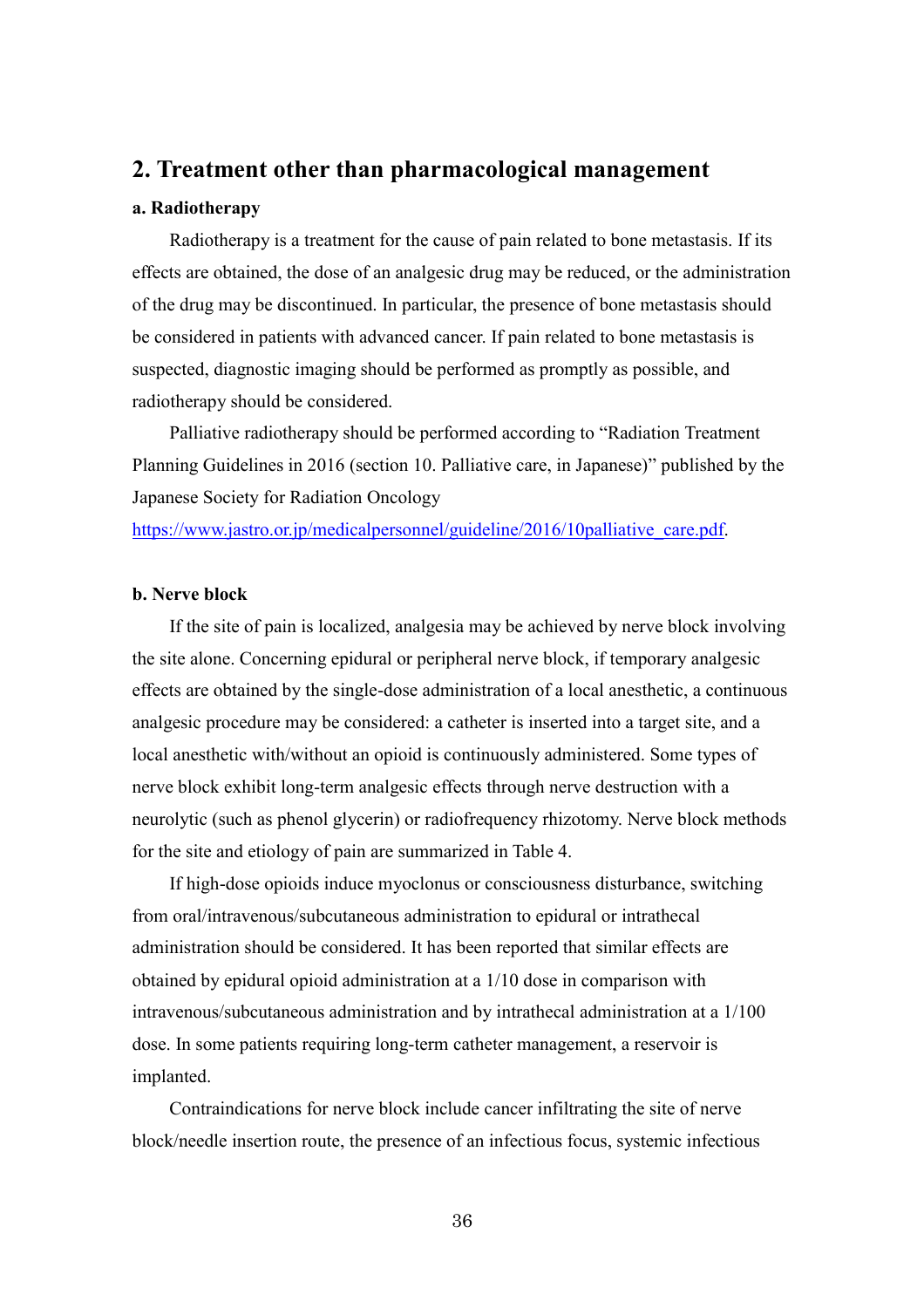### **2. Treatment other than pharmacological management**

#### **a. Radiotherapy**

Radiotherapy is a treatment for the cause of pain related to bone metastasis. If its effects are obtained, the dose of an analgesic drug may be reduced, or the administration of the drug may be discontinued. In particular, the presence of bone metastasis should be considered in patients with advanced cancer. If pain related to bone metastasis is suspected, diagnostic imaging should be performed as promptly as possible, and radiotherapy should be considered.

Palliative radiotherapy should be performed according to "Radiation Treatment Planning Guidelines in 2016 (section 10. Palliative care, in Japanese)" published by the Japanese Society for Radiation Oncology

[https://www.jastro.or.jp/medicalpersonnel/guideline/2016/10palliative\\_care.pdf.](https://www.jastro.or.jp/medicalpersonnel/guideline/2016/10palliative_care.pdf)

#### **b. Nerve block**

If the site of pain is localized, analgesia may be achieved by nerve block involving the site alone. Concerning epidural or peripheral nerve block, if temporary analgesic effects are obtained by the single-dose administration of a local anesthetic, a continuous analgesic procedure may be considered: a catheter is inserted into a target site, and a local anesthetic with/without an opioid is continuously administered. Some types of nerve block exhibit long-term analgesic effects through nerve destruction with a neurolytic (such as phenol glycerin) or radiofrequency rhizotomy. Nerve block methods for the site and etiology of pain are summarized in Table 4.

If high-dose opioids induce myoclonus or consciousness disturbance, switching from oral/intravenous/subcutaneous administration to epidural or intrathecal administration should be considered. It has been reported that similar effects are obtained by epidural opioid administration at a 1/10 dose in comparison with intravenous/subcutaneous administration and by intrathecal administration at a 1/100 dose. In some patients requiring long-term catheter management, a reservoir is implanted.

Contraindications for nerve block include cancer infiltrating the site of nerve block/needle insertion route, the presence of an infectious focus, systemic infectious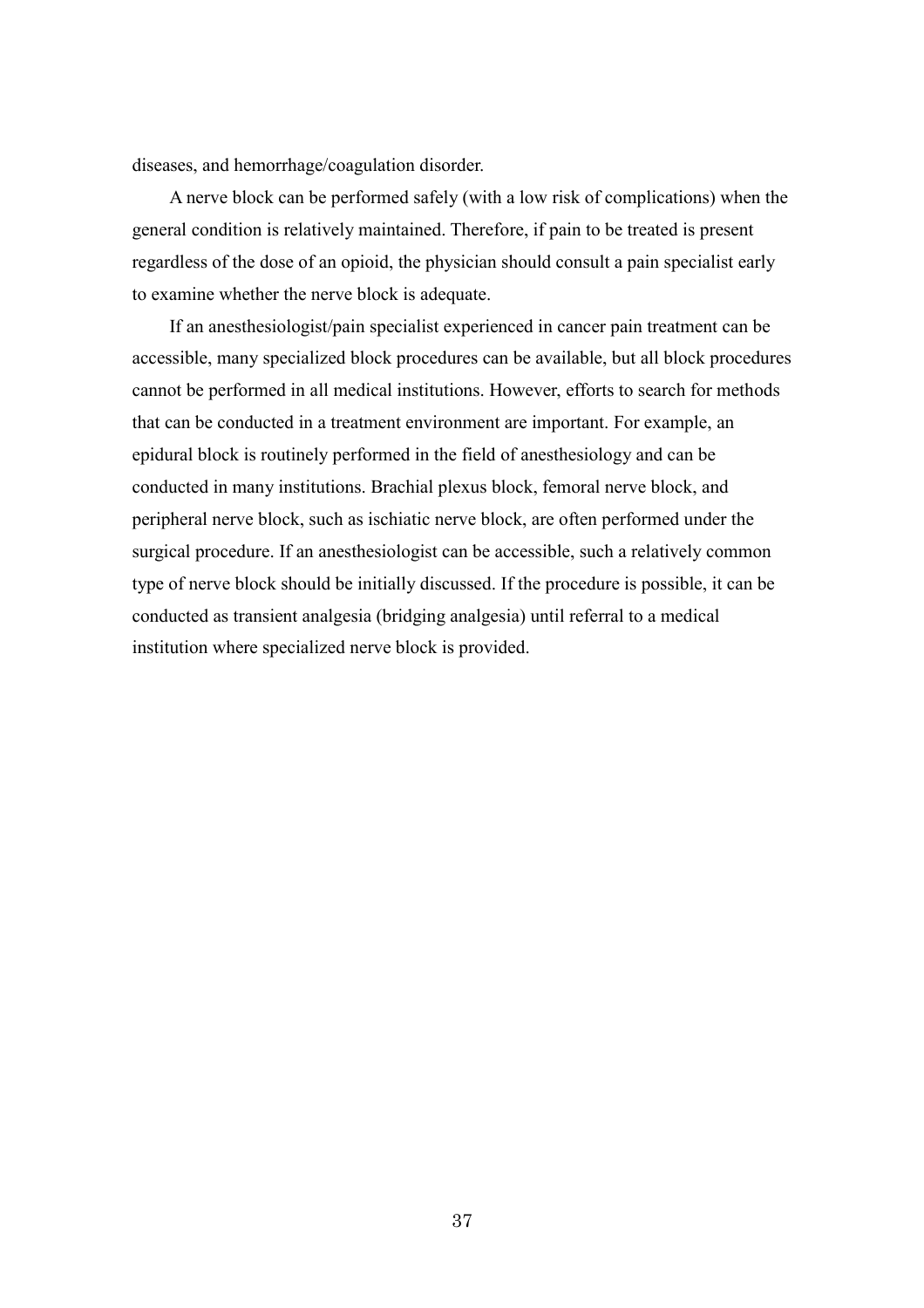diseases, and hemorrhage/coagulation disorder.

A nerve block can be performed safely (with a low risk of complications) when the general condition is relatively maintained. Therefore, if pain to be treated is present regardless of the dose of an opioid, the physician should consult a pain specialist early to examine whether the nerve block is adequate.

If an anesthesiologist/pain specialist experienced in cancer pain treatment can be accessible, many specialized block procedures can be available, but all block procedures cannot be performed in all medical institutions. However, efforts to search for methods that can be conducted in a treatment environment are important. For example, an epidural block is routinely performed in the field of anesthesiology and can be conducted in many institutions. Brachial plexus block, femoral nerve block, and peripheral nerve block, such as ischiatic nerve block, are often performed under the surgical procedure. If an anesthesiologist can be accessible, such a relatively common type of nerve block should be initially discussed. If the procedure is possible, it can be conducted as transient analgesia (bridging analgesia) until referral to a medical institution where specialized nerve block is provided.